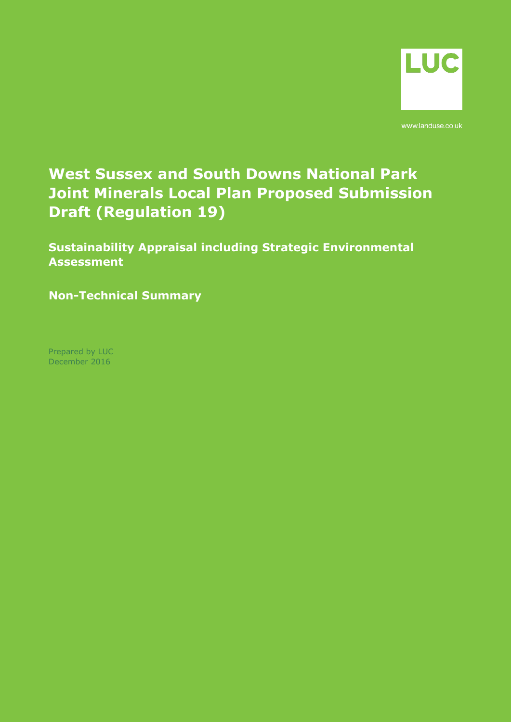

www.landuse.co.uk

# **West Sussex and South Downs National Park Joint Minerals Local Plan Proposed Submission Draft (Regulation 19)**

**Sustainability Appraisal including Strategic Environmental Assessment**

**Non-Technical Summary** 

Prepared by LUC December 2016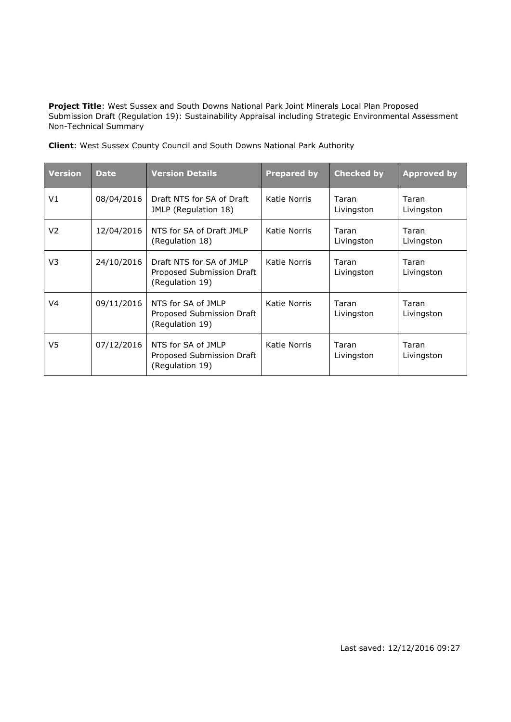**Project Title**: West Sussex and South Downs National Park Joint Minerals Local Plan Proposed Submission Draft (Regulation 19): Sustainability Appraisal including Strategic Environmental Assessment Non-Technical Summary

| <b>Version</b> | <b>Date</b> | <b>Version Details</b>                                                   | <b>Prepared by</b> | <b>Checked by</b>   | <b>Approved by</b>  |
|----------------|-------------|--------------------------------------------------------------------------|--------------------|---------------------|---------------------|
| V1             | 08/04/2016  | Draft NTS for SA of Draft<br>JMLP (Regulation 18)                        | Katie Norris       | Taran<br>Livingston | Taran<br>Livingston |
| V <sub>2</sub> | 12/04/2016  | NTS for SA of Draft JMLP<br>(Regulation 18)                              | Katie Norris       | Taran<br>Livingston | Taran<br>Livingston |
| V3             | 24/10/2016  | Draft NTS for SA of JMLP<br>Proposed Submission Draft<br>(Regulation 19) | Katie Norris       | Taran<br>Livingston | Taran<br>Livingston |
| V4             | 09/11/2016  | NTS for SA of JMLP<br>Proposed Submission Draft<br>(Regulation 19)       | Katie Norris       | Taran<br>Livingston | Taran<br>Livingston |
| V5             | 07/12/2016  | NTS for SA of JMLP<br>Proposed Submission Draft<br>(Regulation 19)       | Katie Norris       | Taran<br>Livingston | Taran<br>Livingston |

**Client**: West Sussex County Council and South Downs National Park Authority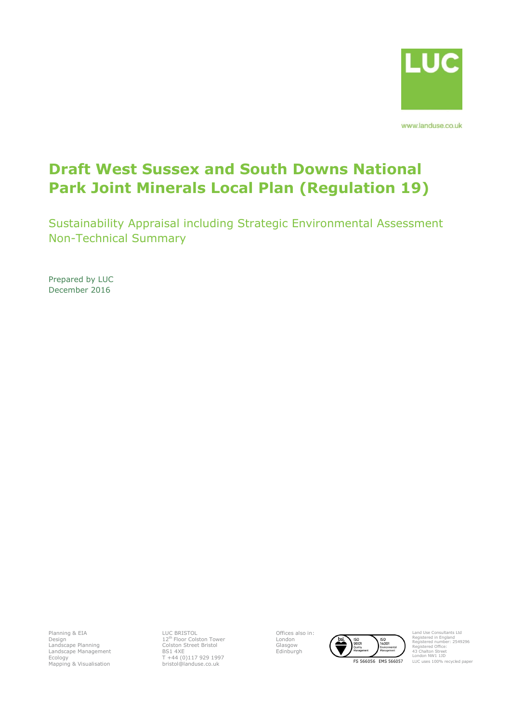

# **Draft West Sussex and South Downs National Park Joint Minerals Local Plan (Regulation 19)**

Sustainability Appraisal including Strategic Environmental Assessment Non-Technical Summary

Prepared by LUC December 2016

Planning & EIA Design Landscape Planning Landscape Management Ecology Mapping & Visualisation

LUC BRISTOL<br>12<sup>th</sup> Floor Colston Tower<br>Colston Street Bristol BS1 4XE T +44 (0)117 929 1997 bristol@landuse.co.uk

Offices also in: London Glasgow Edinburgh



Land Use Consultants Ltd Registered in England Registered number: 2549296 Registered Office: 43 Chalton Street **London NW1 11D** LUC uses 100% recycled paper

FS 566056 EMS 566057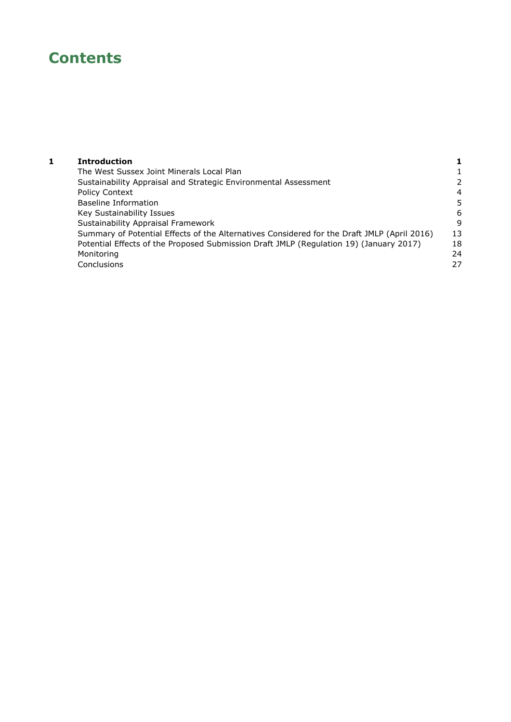# **Contents**

| <b>Introduction</b> |
|---------------------|
|                     |

| 1 | <b>Introduction</b>                                                                         |                |
|---|---------------------------------------------------------------------------------------------|----------------|
|   | The West Sussex Joint Minerals Local Plan                                                   |                |
|   | Sustainability Appraisal and Strategic Environmental Assessment                             | 2              |
|   | <b>Policy Context</b>                                                                       | $\overline{4}$ |
|   | Baseline Information                                                                        | 5              |
|   | Key Sustainability Issues                                                                   | 6              |
|   | Sustainability Appraisal Framework                                                          | 9              |
|   | Summary of Potential Effects of the Alternatives Considered for the Draft JMLP (April 2016) | 13             |
|   | Potential Effects of the Proposed Submission Draft JMLP (Regulation 19) (January 2017)      | 18             |
|   | Monitoring                                                                                  | 24             |
|   | Conclusions                                                                                 | 27             |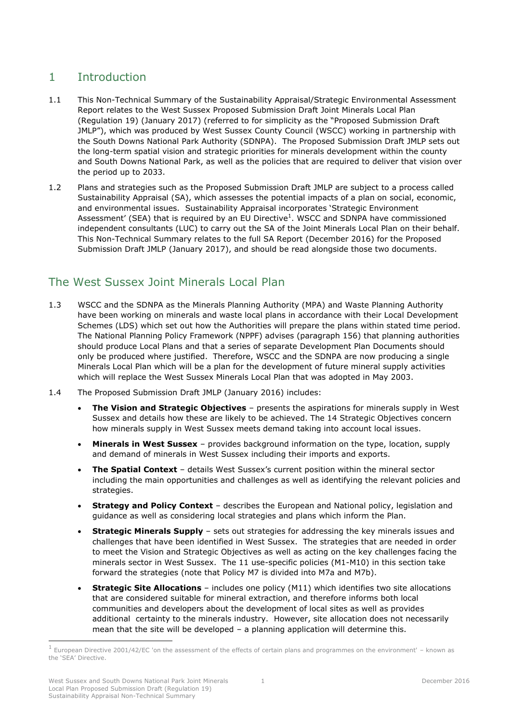# <span id="page-4-0"></span>1 Introduction

- 1.1 This Non-Technical Summary of the Sustainability Appraisal/Strategic Environmental Assessment Report relates to the West Sussex Proposed Submission Draft Joint Minerals Local Plan (Regulation 19) (January 2017) (referred to for simplicity as the "Proposed Submission Draft JMLP"), which was produced by West Sussex County Council (WSCC) working in partnership with the South Downs National Park Authority (SDNPA). The Proposed Submission Draft JMLP sets out the long-term spatial vision and strategic priorities for minerals development within the county and South Downs National Park, as well as the policies that are required to deliver that vision over the period up to 2033.
- 1.2 Plans and strategies such as the Proposed Submission Draft JMLP are subject to a process called Sustainability Appraisal (SA), which assesses the potential impacts of a plan on social, economic, and environmental issues. Sustainability Appraisal incorporates 'Strategic Environment Assessment' (SEA) that is required by an EU Directive<sup>1</sup>. WSCC and SDNPA have commissioned independent consultants (LUC) to carry out the SA of the Joint Minerals Local Plan on their behalf. This Non-Technical Summary relates to the full SA Report (December 2016) for the Proposed Submission Draft JMLP (January 2017), and should be read alongside those two documents.

# <span id="page-4-1"></span>The West Sussex Joint Minerals Local Plan

- 1.3 WSCC and the SDNPA as the Minerals Planning Authority (MPA) and Waste Planning Authority have been working on minerals and waste local plans in accordance with their Local Development Schemes (LDS) which set out how the Authorities will prepare the plans within stated time period. The National Planning Policy Framework (NPPF) advises (paragraph 156) that planning authorities should produce Local Plans and that a series of separate Development Plan Documents should only be produced where justified. Therefore, WSCC and the SDNPA are now producing a single Minerals Local Plan which will be a plan for the development of future mineral supply activities which will replace the West Sussex Minerals Local Plan that was adopted in May 2003.
- 1.4 The Proposed Submission Draft JMLP (January 2016) includes:
	- **The Vision and Strategic Objectives** presents the aspirations for minerals supply in West Sussex and details how these are likely to be achieved. The 14 Strategic Objectives concern how minerals supply in West Sussex meets demand taking into account local issues.
	- **Minerals in West Sussex**  provides background information on the type, location, supply and demand of minerals in West Sussex including their imports and exports.
	- **The Spatial Context** details West Sussex's current position within the mineral sector including the main opportunities and challenges as well as identifying the relevant policies and strategies.
	- **Strategy and Policy Context** describes the European and National policy, legislation and guidance as well as considering local strategies and plans which inform the Plan.
	- **Strategic Minerals Supply** sets out strategies for addressing the key minerals issues and challenges that have been identified in West Sussex. The strategies that are needed in order to meet the Vision and Strategic Objectives as well as acting on the key challenges facing the minerals sector in West Sussex. The 11 use-specific policies (M1-M10) in this section take forward the strategies (note that Policy M7 is divided into M7a and M7b).
	- **Strategic Site Allocations** includes one policy (M11) which identifies two site allocations that are considered suitable for mineral extraction, and therefore informs both local communities and developers about the development of local sites as well as provides additional certainty to the minerals industry. However, site allocation does not necessarily mean that the site will be developed – a planning application will determine this.

 $<sup>1</sup>$  European Directive 2001/42/EC 'on the assessment of the effects of certain plans and programmes on the environment' – known as</sup> the 'SEA' Directive.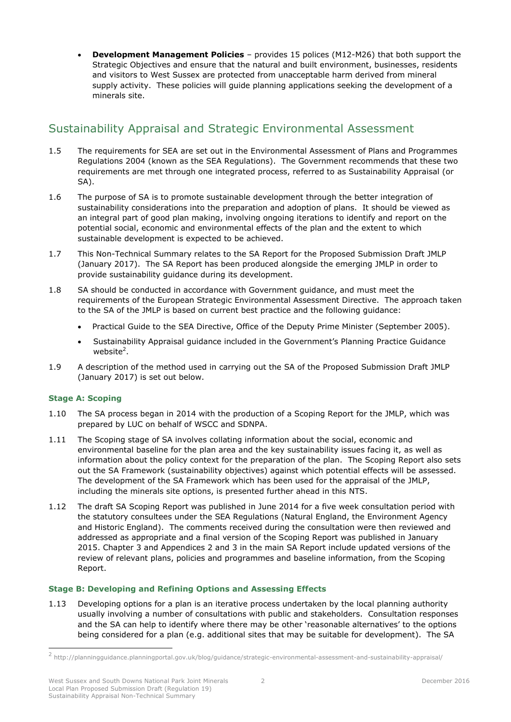**Development Management Policies** – provides 15 polices (M12-M26) that both support the Strategic Objectives and ensure that the natural and built environment, businesses, residents and visitors to West Sussex are protected from unacceptable harm derived from mineral supply activity. These policies will guide planning applications seeking the development of a minerals site.

# <span id="page-5-0"></span>Sustainability Appraisal and Strategic Environmental Assessment

- 1.5 The requirements for SEA are set out in the Environmental Assessment of Plans and Programmes Regulations 2004 (known as the SEA Regulations). The Government recommends that these two requirements are met through one integrated process, referred to as Sustainability Appraisal (or SA).
- 1.6 The purpose of SA is to promote sustainable development through the better integration of sustainability considerations into the preparation and adoption of plans. It should be viewed as an integral part of good plan making, involving ongoing iterations to identify and report on the potential social, economic and environmental effects of the plan and the extent to which sustainable development is expected to be achieved.
- 1.7 This Non-Technical Summary relates to the SA Report for the Proposed Submission Draft JMLP (January 2017). The SA Report has been produced alongside the emerging JMLP in order to provide sustainability guidance during its development.
- 1.8 SA should be conducted in accordance with Government guidance, and must meet the requirements of the European Strategic Environmental Assessment Directive. The approach taken to the SA of the JMLP is based on current best practice and the following guidance:
	- Practical Guide to the SEA Directive, Office of the Deputy Prime Minister (September 2005).
	- Sustainability Appraisal guidance included in the Government's Planning Practice Guidance website<sup>2</sup>.
- 1.9 A description of the method used in carrying out the SA of the Proposed Submission Draft JMLP (January 2017) is set out below.

### **Stage A: Scoping**

-

- 1.10 The SA process began in 2014 with the production of a Scoping Report for the JMLP, which was prepared by LUC on behalf of WSCC and SDNPA.
- 1.11 The Scoping stage of SA involves collating information about the social, economic and environmental baseline for the plan area and the key sustainability issues facing it, as well as information about the policy context for the preparation of the plan. The Scoping Report also sets out the SA Framework (sustainability objectives) against which potential effects will be assessed. The development of the SA Framework which has been used for the appraisal of the JMLP, including the minerals site options, is presented further ahead in this NTS.
- 1.12 The draft SA Scoping Report was published in June 2014 for a five week consultation period with the statutory consultees under the SEA Regulations (Natural England, the Environment Agency and Historic England). The comments received during the consultation were then reviewed and addressed as appropriate and a final version of the Scoping Report was published in January 2015. Chapter 3 and Appendices 2 and 3 in the main SA Report include updated versions of the review of relevant plans, policies and programmes and baseline information, from the Scoping Report.

### **Stage B: Developing and Refining Options and Assessing Effects**

1.13 Developing options for a plan is an iterative process undertaken by the local planning authority usually involving a number of consultations with public and stakeholders. Consultation responses and the SA can help to identify where there may be other 'reasonable alternatives' to the options being considered for a plan (e.g. additional sites that may be suitable for development). The SA

<sup>&</sup>lt;sup>2</sup> http://planningguidance.planningportal.gov.uk/blog/guidance/strategic-environmental-assessment-and-sustainability-appraisal/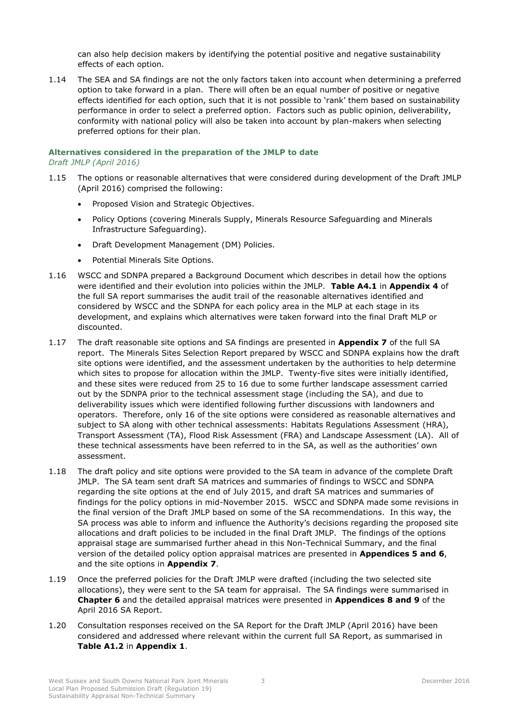can also help decision makers by identifying the potential positive and negative sustainability effects of each option.

1.14 The SEA and SA findings are not the only factors taken into account when determining a preferred option to take forward in a plan. There will often be an equal number of positive or negative effects identified for each option, such that it is not possible to 'rank' them based on sustainability performance in order to select a preferred option. Factors such as public opinion, deliverability, conformity with national policy will also be taken into account by plan-makers when selecting preferred options for their plan.

## **Alternatives considered in the preparation of the JMLP to date**

*Draft JMLP (April 2016)*

- 1.15 The options or reasonable alternatives that were considered during development of the Draft JMLP (April 2016) comprised the following:
	- Proposed Vision and Strategic Objectives.
	- Policy Options (covering Minerals Supply, Minerals Resource Safeguarding and Minerals Infrastructure Safeguarding).
	- Draft Development Management (DM) Policies.
	- Potential Minerals Site Options.
- 1.16 WSCC and SDNPA prepared a Background Document which describes in detail how the options were identified and their evolution into policies within the JMLP. **Table A4.1** in **Appendix 4** of the full SA report summarises the audit trail of the reasonable alternatives identified and considered by WSCC and the SDNPA for each policy area in the MLP at each stage in its development, and explains which alternatives were taken forward into the final Draft MLP or discounted.
- 1.17 The draft reasonable site options and SA findings are presented in **Appendix 7** of the full SA report. The Minerals Sites Selection Report prepared by WSCC and SDNPA explains how the draft site options were identified, and the assessment undertaken by the authorities to help determine which sites to propose for allocation within the JMLP. Twenty-five sites were initially identified, and these sites were reduced from 25 to 16 due to some further landscape assessment carried out by the SDNPA prior to the technical assessment stage (including the SA), and due to deliverability issues which were identified following further discussions with landowners and operators. Therefore, only 16 of the site options were considered as reasonable alternatives and subject to SA along with other technical assessments: Habitats Regulations Assessment (HRA), Transport Assessment (TA), Flood Risk Assessment (FRA) and Landscape Assessment (LA). All of these technical assessments have been referred to in the SA, as well as the authorities' own assessment.
- 1.18 The draft policy and site options were provided to the SA team in advance of the complete Draft JMLP. The SA team sent draft SA matrices and summaries of findings to WSCC and SDNPA regarding the site options at the end of July 2015, and draft SA matrices and summaries of findings for the policy options in mid-November 2015. WSCC and SDNPA made some revisions in the final version of the Draft JMLP based on some of the SA recommendations. In this way, the SA process was able to inform and influence the Authority's decisions regarding the proposed site allocations and draft policies to be included in the final Draft JMLP. The findings of the options appraisal stage are summarised further ahead in this Non-Technical Summary, and the final version of the detailed policy option appraisal matrices are presented in **Appendices 5 and 6**, and the site options in **Appendix 7**.
- 1.19 Once the preferred policies for the Draft JMLP were drafted (including the two selected site allocations), they were sent to the SA team for appraisal. The SA findings were summarised in **Chapter 6** and the detailed appraisal matrices were presented in **Appendices 8 and 9** of the April 2016 SA Report.
- 1.20 Consultation responses received on the SA Report for the Draft JMLP (April 2016) have been considered and addressed where relevant within the current full SA Report, as summarised in **Table A1.2** in **Appendix 1**.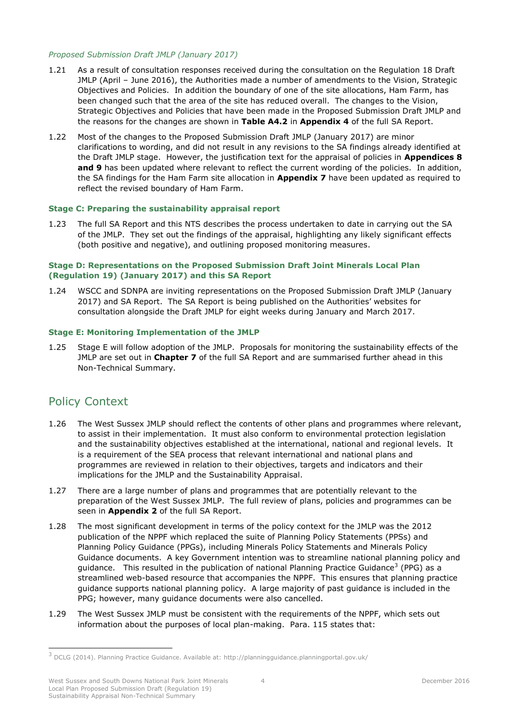#### *Proposed Submission Draft JMLP (January 2017)*

- 1.21 As a result of consultation responses received during the consultation on the Regulation 18 Draft JMLP (April – June 2016), the Authorities made a number of amendments to the Vision, Strategic Objectives and Policies. In addition the boundary of one of the site allocations, Ham Farm, has been changed such that the area of the site has reduced overall. The changes to the Vision, Strategic Objectives and Policies that have been made in the Proposed Submission Draft JMLP and the reasons for the changes are shown in **Table A4.2** in **Appendix 4** of the full SA Report.
- 1.22 Most of the changes to the Proposed Submission Draft JMLP (January 2017) are minor clarifications to wording, and did not result in any revisions to the SA findings already identified at the Draft JMLP stage. However, the justification text for the appraisal of policies in **Appendices 8 and 9** has been updated where relevant to reflect the current wording of the policies. In addition, the SA findings for the Ham Farm site allocation in **Appendix 7** have been updated as required to reflect the revised boundary of Ham Farm.

#### **Stage C: Preparing the sustainability appraisal report**

1.23 The full SA Report and this NTS describes the process undertaken to date in carrying out the SA of the JMLP. They set out the findings of the appraisal, highlighting any likely significant effects (both positive and negative), and outlining proposed monitoring measures.

#### **Stage D: Representations on the Proposed Submission Draft Joint Minerals Local Plan (Regulation 19) (January 2017) and this SA Report**

1.24 WSCC and SDNPA are inviting representations on the Proposed Submission Draft JMLP (January 2017) and SA Report. The SA Report is being published on the Authorities' websites for consultation alongside the Draft JMLP for eight weeks during January and March 2017.

#### **Stage E: Monitoring Implementation of the JMLP**

1.25 Stage E will follow adoption of the JMLP. Proposals for monitoring the sustainability effects of the JMLP are set out in **Chapter 7** of the full SA Report and are summarised further ahead in this Non-Technical Summary.

# <span id="page-7-0"></span>Policy Context

- 1.26 The West Sussex JMLP should reflect the contents of other plans and programmes where relevant, to assist in their implementation. It must also conform to environmental protection legislation and the sustainability objectives established at the international, national and regional levels. It is a requirement of the SEA process that relevant international and national plans and programmes are reviewed in relation to their objectives, targets and indicators and their implications for the JMLP and the Sustainability Appraisal.
- 1.27 There are a large number of plans and programmes that are potentially relevant to the preparation of the West Sussex JMLP. The full review of plans, policies and programmes can be seen in **Appendix 2** of the full SA Report.
- 1.28 The most significant development in terms of the policy context for the JMLP was the 2012 publication of the NPPF which replaced the suite of Planning Policy Statements (PPSs) and Planning Policy Guidance (PPGs), including Minerals Policy Statements and Minerals Policy Guidance documents. A key Government intention was to streamline national planning policy and guidance. This resulted in the publication of national Planning Practice Guidance<sup>3</sup> (PPG) as a streamlined web-based resource that accompanies the NPPF. This ensures that planning practice guidance supports national planning policy. A large majority of past guidance is included in the PPG; however, many guidance documents were also cancelled.
- 1.29 The West Sussex JMLP must be consistent with the requirements of the NPPF, which sets out information about the purposes of local plan-making. Para. 115 states that:

<sup>3</sup> DCLG (2014). Planning Practice Guidance. Available at: http://planningguidance.planningportal.gov.uk/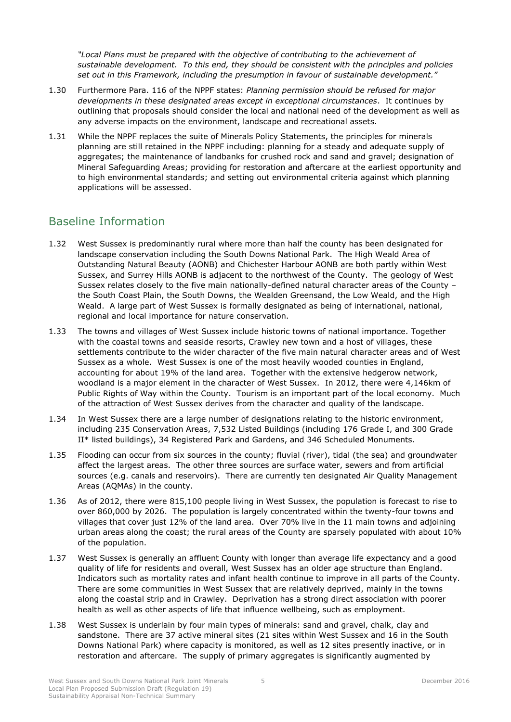*"Local Plans must be prepared with the objective of contributing to the achievement of sustainable development. To this end, they should be consistent with the principles and policies set out in this Framework, including the presumption in favour of sustainable development."*

- 1.30 Furthermore Para. 116 of the NPPF states: *Planning permission should be refused for major developments in these designated areas except in exceptional circumstances*. It continues by outlining that proposals should consider the local and national need of the development as well as any adverse impacts on the environment, landscape and recreational assets.
- 1.31 While the NPPF replaces the suite of Minerals Policy Statements, the principles for minerals planning are still retained in the NPPF including: planning for a steady and adequate supply of aggregates; the maintenance of landbanks for crushed rock and sand and gravel; designation of Mineral Safeguarding Areas; providing for restoration and aftercare at the earliest opportunity and to high environmental standards; and setting out environmental criteria against which planning applications will be assessed.

# <span id="page-8-0"></span>Baseline Information

- 1.32 West Sussex is predominantly rural where more than half the county has been designated for landscape conservation including the South Downs National Park. The High Weald Area of Outstanding Natural Beauty (AONB) and Chichester Harbour AONB are both partly within West Sussex, and Surrey Hills AONB is adjacent to the northwest of the County. The geology of West Sussex relates closely to the five main nationally-defined natural character areas of the County – the South Coast Plain, the South Downs, the Wealden Greensand, the Low Weald, and the High Weald. A large part of West Sussex is formally designated as being of international, national, regional and local importance for nature conservation.
- 1.33 The towns and villages of West Sussex include historic towns of national importance. Together with the coastal towns and seaside resorts, Crawley new town and a host of villages, these settlements contribute to the wider character of the five main natural character areas and of West Sussex as a whole. West Sussex is one of the most heavily wooded counties in England, accounting for about 19% of the land area. Together with the extensive hedgerow network, woodland is a major element in the character of West Sussex. In 2012, there were 4,146km of Public Rights of Way within the County. Tourism is an important part of the local economy. Much of the attraction of West Sussex derives from the character and quality of the landscape.
- 1.34 In West Sussex there are a large number of designations relating to the historic environment, including 235 Conservation Areas, 7,532 Listed Buildings (including 176 Grade I, and 300 Grade II\* listed buildings), 34 Registered Park and Gardens, and 346 Scheduled Monuments.
- 1.35 Flooding can occur from six sources in the county; fluvial (river), tidal (the sea) and groundwater affect the largest areas. The other three sources are surface water, sewers and from artificial sources (e.g. canals and reservoirs). There are currently ten designated Air Quality Management Areas (AQMAs) in the county.
- 1.36 As of 2012, there were 815,100 people living in West Sussex, the population is forecast to rise to over 860,000 by 2026. The population is largely concentrated within the twenty-four towns and villages that cover just 12% of the land area. Over 70% live in the 11 main towns and adjoining urban areas along the coast; the rural areas of the County are sparsely populated with about 10% of the population.
- 1.37 West Sussex is generally an affluent County with longer than average life expectancy and a good quality of life for residents and overall, West Sussex has an older age structure than England. Indicators such as mortality rates and infant health continue to improve in all parts of the County. There are some communities in West Sussex that are relatively deprived, mainly in the towns along the coastal strip and in Crawley. Deprivation has a strong direct association with poorer health as well as other aspects of life that influence wellbeing, such as employment.
- 1.38 West Sussex is underlain by four main types of minerals: sand and gravel, chalk, clay and sandstone. There are 37 active mineral sites (21 sites within West Sussex and 16 in the South Downs National Park) where capacity is monitored, as well as 12 sites presently inactive, or in restoration and aftercare. The supply of primary aggregates is significantly augmented by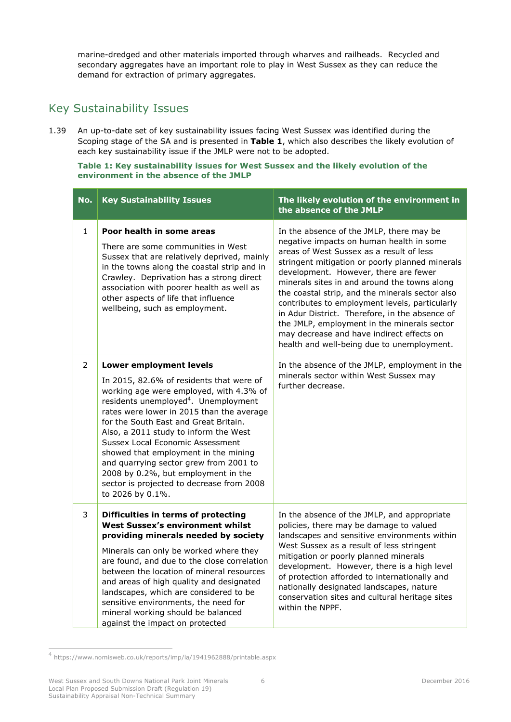marine-dredged and other materials imported through wharves and railheads. Recycled and secondary aggregates have an important role to play in West Sussex as they can reduce the demand for extraction of primary aggregates.

# <span id="page-9-0"></span>Key Sustainability Issues

1.39 An up-to-date set of key sustainability issues facing West Sussex was identified during the Scoping stage of the SA and is presented in **[Table 1](#page-9-1)**, which also describes the likely evolution of each key sustainability issue if the JMLP were not to be adopted.

<span id="page-9-1"></span>**Table 1: Key sustainability issues for West Sussex and the likely evolution of the environment in the absence of the JMLP**

| No.            | <b>Key Sustainability Issues</b>                                                                                                                                                                                                                                                                                                                                                                                                                                                                                                       | The likely evolution of the environment in<br>the absence of the JMLP                                                                                                                                                                                                                                                                                                                                                                                                                                                                                                         |
|----------------|----------------------------------------------------------------------------------------------------------------------------------------------------------------------------------------------------------------------------------------------------------------------------------------------------------------------------------------------------------------------------------------------------------------------------------------------------------------------------------------------------------------------------------------|-------------------------------------------------------------------------------------------------------------------------------------------------------------------------------------------------------------------------------------------------------------------------------------------------------------------------------------------------------------------------------------------------------------------------------------------------------------------------------------------------------------------------------------------------------------------------------|
| $\mathbf{1}$   | Poor health in some areas<br>There are some communities in West<br>Sussex that are relatively deprived, mainly<br>in the towns along the coastal strip and in<br>Crawley. Deprivation has a strong direct<br>association with poorer health as well as<br>other aspects of life that influence<br>wellbeing, such as employment.                                                                                                                                                                                                       | In the absence of the JMLP, there may be<br>negative impacts on human health in some<br>areas of West Sussex as a result of less<br>stringent mitigation or poorly planned minerals<br>development. However, there are fewer<br>minerals sites in and around the towns along<br>the coastal strip, and the minerals sector also<br>contributes to employment levels, particularly<br>in Adur District. Therefore, in the absence of<br>the JMLP, employment in the minerals sector<br>may decrease and have indirect effects on<br>health and well-being due to unemployment. |
| $\overline{2}$ | <b>Lower employment levels</b><br>In 2015, 82.6% of residents that were of<br>working age were employed, with 4.3% of<br>residents unemployed <sup>4</sup> . Unemployment<br>rates were lower in 2015 than the average<br>for the South East and Great Britain.<br>Also, a 2011 study to inform the West<br>Sussex Local Economic Assessment<br>showed that employment in the mining<br>and quarrying sector grew from 2001 to<br>2008 by 0.2%, but employment in the<br>sector is projected to decrease from 2008<br>to 2026 by 0.1%. | In the absence of the JMLP, employment in the<br>minerals sector within West Sussex may<br>further decrease.                                                                                                                                                                                                                                                                                                                                                                                                                                                                  |
| 3              | Difficulties in terms of protecting<br><b>West Sussex's environment whilst</b><br>providing minerals needed by society<br>Minerals can only be worked where they<br>are found, and due to the close correlation<br>between the location of mineral resources<br>and areas of high quality and designated<br>landscapes, which are considered to be<br>sensitive environments, the need for<br>mineral working should be balanced<br>against the impact on protected                                                                    | In the absence of the JMLP, and appropriate<br>policies, there may be damage to valued<br>landscapes and sensitive environments within<br>West Sussex as a result of less stringent<br>mitigation or poorly planned minerals<br>development. However, there is a high level<br>of protection afforded to internationally and<br>nationally designated landscapes, nature<br>conservation sites and cultural heritage sites<br>within the NPPF.                                                                                                                                |

<sup>4</sup> https://www.nomisweb.co.uk/reports/imp/la/1941962888/printable.aspx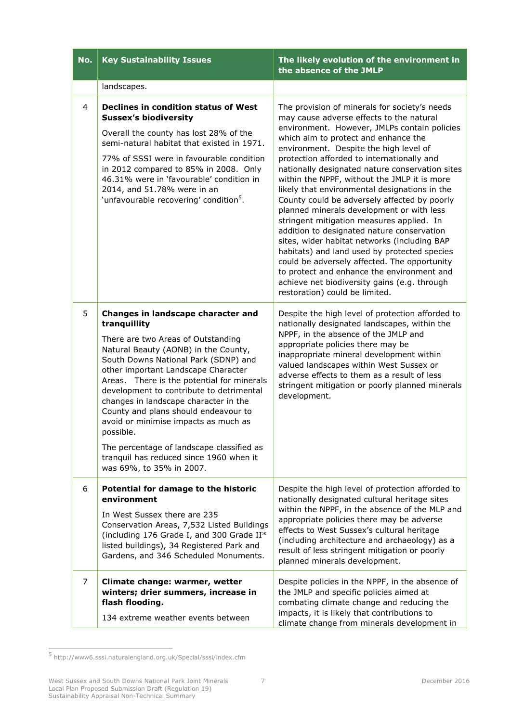| No.            | <b>Key Sustainability Issues</b>                                                                                                                                                                                                                                                                                                                                                                                                                                                                                                                                    | The likely evolution of the environment in<br>the absence of the JMLP                                                                                                                                                                                                                                                                                                                                                                                                                                                                                                                                                                                                                                                                                                                                                                                                                                 |
|----------------|---------------------------------------------------------------------------------------------------------------------------------------------------------------------------------------------------------------------------------------------------------------------------------------------------------------------------------------------------------------------------------------------------------------------------------------------------------------------------------------------------------------------------------------------------------------------|-------------------------------------------------------------------------------------------------------------------------------------------------------------------------------------------------------------------------------------------------------------------------------------------------------------------------------------------------------------------------------------------------------------------------------------------------------------------------------------------------------------------------------------------------------------------------------------------------------------------------------------------------------------------------------------------------------------------------------------------------------------------------------------------------------------------------------------------------------------------------------------------------------|
|                | landscapes.                                                                                                                                                                                                                                                                                                                                                                                                                                                                                                                                                         |                                                                                                                                                                                                                                                                                                                                                                                                                                                                                                                                                                                                                                                                                                                                                                                                                                                                                                       |
| $\overline{4}$ | <b>Declines in condition status of West</b><br><b>Sussex's biodiversity</b><br>Overall the county has lost 28% of the<br>semi-natural habitat that existed in 1971.<br>77% of SSSI were in favourable condition<br>in 2012 compared to 85% in 2008. Only<br>46.31% were in 'favourable' condition in<br>2014, and 51.78% were in an<br>'unfavourable recovering' condition <sup>5</sup> .                                                                                                                                                                           | The provision of minerals for society's needs<br>may cause adverse effects to the natural<br>environment. However, JMLPs contain policies<br>which aim to protect and enhance the<br>environment. Despite the high level of<br>protection afforded to internationally and<br>nationally designated nature conservation sites<br>within the NPPF, without the JMLP it is more<br>likely that environmental designations in the<br>County could be adversely affected by poorly<br>planned minerals development or with less<br>stringent mitigation measures applied. In<br>addition to designated nature conservation<br>sites, wider habitat networks (including BAP<br>habitats) and land used by protected species<br>could be adversely affected. The opportunity<br>to protect and enhance the environment and<br>achieve net biodiversity gains (e.g. through<br>restoration) could be limited. |
| 5              | Changes in landscape character and<br>tranquillity<br>There are two Areas of Outstanding<br>Natural Beauty (AONB) in the County,<br>South Downs National Park (SDNP) and<br>other important Landscape Character<br>Areas. There is the potential for minerals<br>development to contribute to detrimental<br>changes in landscape character in the<br>County and plans should endeavour to<br>avoid or minimise impacts as much as<br>possible.<br>The percentage of landscape classified as<br>tranquil has reduced since 1960 when it<br>was 69%, to 35% in 2007. | Despite the high level of protection afforded to<br>nationally designated landscapes, within the<br>NPPF, in the absence of the JMLP and<br>appropriate policies there may be<br>inappropriate mineral development within<br>valued landscapes within West Sussex or<br>adverse effects to them as a result of less<br>stringent mitigation or poorly planned minerals<br>development.                                                                                                                                                                                                                                                                                                                                                                                                                                                                                                                |
| 6              | Potential for damage to the historic<br>environment<br>In West Sussex there are 235<br>Conservation Areas, 7,532 Listed Buildings<br>(including 176 Grade I, and 300 Grade II*<br>listed buildings), 34 Registered Park and<br>Gardens, and 346 Scheduled Monuments.                                                                                                                                                                                                                                                                                                | Despite the high level of protection afforded to<br>nationally designated cultural heritage sites<br>within the NPPF, in the absence of the MLP and<br>appropriate policies there may be adverse<br>effects to West Sussex's cultural heritage<br>(including architecture and archaeology) as a<br>result of less stringent mitigation or poorly<br>planned minerals development.                                                                                                                                                                                                                                                                                                                                                                                                                                                                                                                     |
| 7              | Climate change: warmer, wetter<br>winters; drier summers, increase in<br>flash flooding.<br>134 extreme weather events between                                                                                                                                                                                                                                                                                                                                                                                                                                      | Despite policies in the NPPF, in the absence of<br>the JMLP and specific policies aimed at<br>combating climate change and reducing the<br>impacts, it is likely that contributions to<br>climate change from minerals development in                                                                                                                                                                                                                                                                                                                                                                                                                                                                                                                                                                                                                                                                 |

 5 http://www6.sssi.naturalengland.org.uk/Special/sssi/index.cfm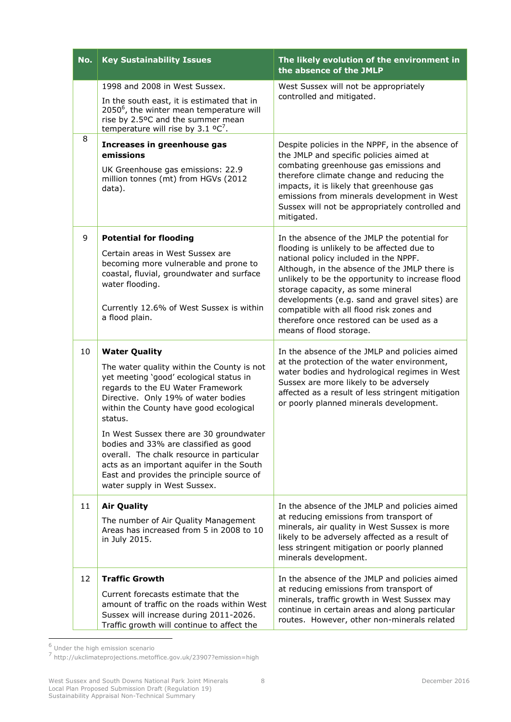| No. | <b>Key Sustainability Issues</b>                                                                                                                                                                                                                                                                                                                                                                                                                                                                          | The likely evolution of the environment in<br>the absence of the JMLP                                                                                                                                                                                                                                                                                                                                                                             |
|-----|-----------------------------------------------------------------------------------------------------------------------------------------------------------------------------------------------------------------------------------------------------------------------------------------------------------------------------------------------------------------------------------------------------------------------------------------------------------------------------------------------------------|---------------------------------------------------------------------------------------------------------------------------------------------------------------------------------------------------------------------------------------------------------------------------------------------------------------------------------------------------------------------------------------------------------------------------------------------------|
|     | 1998 and 2008 in West Sussex.<br>In the south east, it is estimated that in<br>2050 <sup>6</sup> , the winter mean temperature will<br>rise by 2.5°C and the summer mean                                                                                                                                                                                                                                                                                                                                  | West Sussex will not be appropriately<br>controlled and mitigated.                                                                                                                                                                                                                                                                                                                                                                                |
| 8   | temperature will rise by $3.1 \text{ °C}^7$ .<br>Increases in greenhouse gas<br>emissions<br>UK Greenhouse gas emissions: 22.9<br>million tonnes (mt) from HGVs (2012<br>data).                                                                                                                                                                                                                                                                                                                           | Despite policies in the NPPF, in the absence of<br>the JMLP and specific policies aimed at<br>combating greenhouse gas emissions and<br>therefore climate change and reducing the<br>impacts, it is likely that greenhouse gas<br>emissions from minerals development in West<br>Sussex will not be appropriately controlled and<br>mitigated.                                                                                                    |
| 9   | <b>Potential for flooding</b><br>Certain areas in West Sussex are<br>becoming more vulnerable and prone to<br>coastal, fluvial, groundwater and surface<br>water flooding.<br>Currently 12.6% of West Sussex is within<br>a flood plain.                                                                                                                                                                                                                                                                  | In the absence of the JMLP the potential for<br>flooding is unlikely to be affected due to<br>national policy included in the NPPF.<br>Although, in the absence of the JMLP there is<br>unlikely to be the opportunity to increase flood<br>storage capacity, as some mineral<br>developments (e.g. sand and gravel sites) are<br>compatible with all flood risk zones and<br>therefore once restored can be used as a<br>means of flood storage. |
| 10  | <b>Water Quality</b><br>The water quality within the County is not<br>yet meeting 'good' ecological status in<br>regards to the EU Water Framework<br>Directive. Only 19% of water bodies<br>within the County have good ecological<br>status.<br>In West Sussex there are 30 groundwater<br>bodies and 33% are classified as good<br>overall. The chalk resource in particular<br>acts as an important aquifer in the South<br>East and provides the principle source of<br>water supply in West Sussex. | In the absence of the JMLP and policies aimed<br>at the protection of the water environment,<br>water bodies and hydrological regimes in West<br>Sussex are more likely to be adversely<br>affected as a result of less stringent mitigation<br>or poorly planned minerals development.                                                                                                                                                           |
| 11  | <b>Air Quality</b><br>The number of Air Quality Management<br>Areas has increased from 5 in 2008 to 10<br>in July 2015.                                                                                                                                                                                                                                                                                                                                                                                   | In the absence of the JMLP and policies aimed<br>at reducing emissions from transport of<br>minerals, air quality in West Sussex is more<br>likely to be adversely affected as a result of<br>less stringent mitigation or poorly planned<br>minerals development.                                                                                                                                                                                |
| 12  | <b>Traffic Growth</b>                                                                                                                                                                                                                                                                                                                                                                                                                                                                                     | In the absence of the JMLP and policies aimed<br>at reducing emissions from transport of                                                                                                                                                                                                                                                                                                                                                          |

 6 Under the high emission scenario 7 http://ukclimateprojections.metoffice.gov.uk/23907?emission=high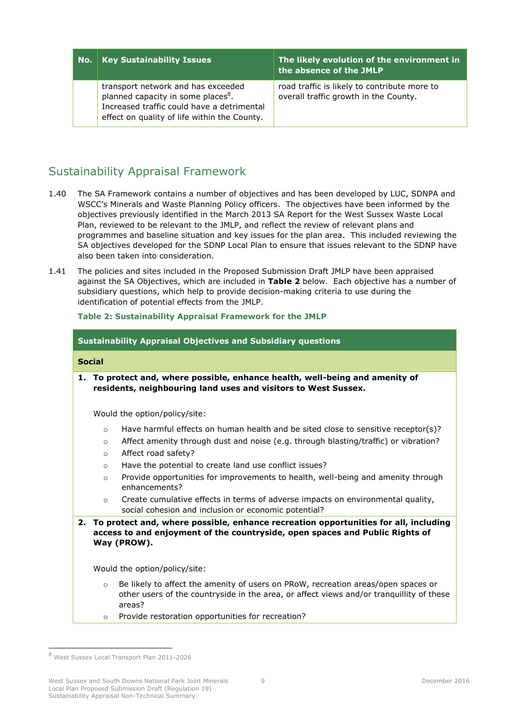| No. | <b>Key Sustainability Issues</b>                                                                                                                                                   | The likely evolution of the environment in<br>the absence of the JMLP                 |
|-----|------------------------------------------------------------------------------------------------------------------------------------------------------------------------------------|---------------------------------------------------------------------------------------|
|     | transport network and has exceeded<br>planned capacity in some places <sup>8</sup> .<br>Increased traffic could have a detrimental<br>effect on quality of life within the County. | road traffic is likely to contribute more to<br>overall traffic growth in the County. |

# <span id="page-12-0"></span>Sustainability Appraisal Framework

- 1.40 The SA Framework contains a number of objectives and has been developed by LUC, SDNPA and WSCC's Minerals and Waste Planning Policy officers. The objectives have been informed by the objectives previously identified in the March 2013 SA Report for the West Sussex Waste Local Plan, reviewed to be relevant to the JMLP, and reflect the review of relevant plans and programmes and baseline situation and key issues for the plan area. This included reviewing the SA objectives developed for the SDNP Local Plan to ensure that issues relevant to the SDNP have also been taken into consideration.
- 1.41 The policies and sites included in the Proposed Submission Draft JMLP have been appraised against the SA Objectives, which are included in **[Table 2](#page-12-1)** below. Each objective has a number of subsidiary questions, which help to provide decision-making criteria to use during the identification of potential effects from the JMLP.

#### <span id="page-12-1"></span>**Table 2: Sustainability Appraisal Framework for the JMLP**

### **Sustainability Appraisal Objectives and Subsidiary questions**

### **Social**

**1. To protect and, where possible, enhance health, well-being and amenity of residents, neighbouring land uses and visitors to West Sussex.** 

Would the option/policy/site:

- $\circ$  Have harmful effects on human health and be sited close to sensitive receptor(s)?
- o Affect amenity through dust and noise (e.g. through blasting/traffic) or vibration?
- o Affect road safety?
- o Have the potential to create land use conflict issues?
- $\circ$  Provide opportunities for improvements to health, well-being and amenity through enhancements?
- $\circ$  Create cumulative effects in terms of adverse impacts on environmental quality, social cohesion and inclusion or economic potential?
- **2. To protect and, where possible, enhance recreation opportunities for all, including access to and enjoyment of the countryside, open spaces and Public Rights of Way (PROW).**

Would the option/policy/site:

- $\circ$  Be likely to affect the amenity of users on PRoW, recreation areas/open spaces or other users of the countryside in the area, or affect views and/or tranquillity of these areas?
- o Provide restoration opportunities for recreation?

-

West Sussex and South Downs National Park Joint Minerals Local Plan Proposed Submission Draft (Regulation 19) Sustainability Appraisal Non-Technical Summary

<sup>8</sup> West Sussex Local Transport Plan 2011-2026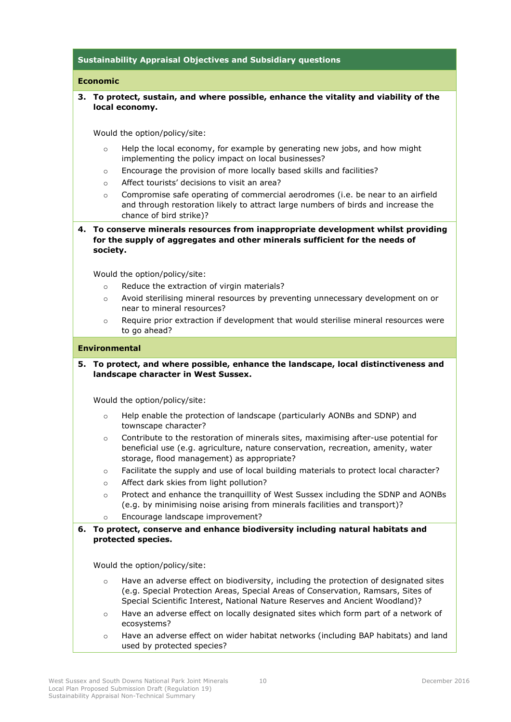### **Sustainability Appraisal Objectives and Subsidiary questions**

#### **Economic**

### **3. To protect, sustain, and where possible, enhance the vitality and viability of the local economy.**

Would the option/policy/site:

- $\circ$  Help the local economy, for example by generating new jobs, and how might implementing the policy impact on local businesses?
- $\circ$  Encourage the provision of more locally based skills and facilities?
- o Affect tourists' decisions to visit an area?
- $\circ$  Compromise safe operating of commercial aerodromes (i.e. be near to an airfield and through restoration likely to attract large numbers of birds and increase the chance of bird strike)?

**4. To conserve minerals resources from inappropriate development whilst providing for the supply of aggregates and other minerals sufficient for the needs of society.** 

Would the option/policy/site:

- o Reduce the extraction of virgin materials?
- o Avoid sterilising mineral resources by preventing unnecessary development on or near to mineral resources?
- $\circ$  Require prior extraction if development that would sterilise mineral resources were to go ahead?

#### **Environmental**

**5. To protect, and where possible, enhance the landscape, local distinctiveness and landscape character in West Sussex.**

Would the option/policy/site:

- o Help enable the protection of landscape (particularly AONBs and SDNP) and townscape character?
- $\circ$  Contribute to the restoration of minerals sites, maximising after-use potential for beneficial use (e.g. agriculture, nature conservation, recreation, amenity, water storage, flood management) as appropriate?
- o Facilitate the supply and use of local building materials to protect local character?
- o Affect dark skies from light pollution?
- $\circ$  Protect and enhance the tranquillity of West Sussex including the SDNP and AONBs (e.g. by minimising noise arising from minerals facilities and transport)?
- o Encourage landscape improvement?

### **6. To protect, conserve and enhance biodiversity including natural habitats and protected species.**

Would the option/policy/site:

- o Have an adverse effect on biodiversity, including the protection of designated sites (e.g. Special Protection Areas, Special Areas of Conservation, Ramsars, Sites of Special Scientific Interest, National Nature Reserves and Ancient Woodland)?
- $\circ$  Have an adverse effect on locally designated sites which form part of a network of ecosystems?
- $\circ$  Have an adverse effect on wider habitat networks (including BAP habitats) and land used by protected species?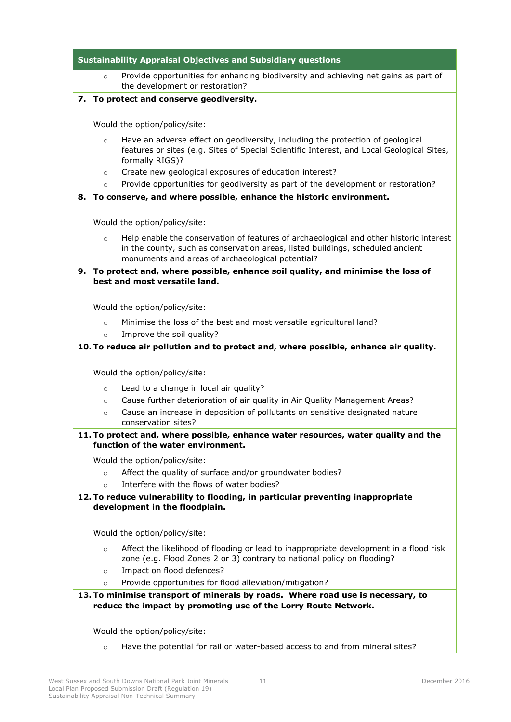|         | <b>Sustainability Appraisal Objectives and Subsidiary questions</b>                                                                                                                                                          |
|---------|------------------------------------------------------------------------------------------------------------------------------------------------------------------------------------------------------------------------------|
| $\circ$ | Provide opportunities for enhancing biodiversity and achieving net gains as part of<br>the development or restoration?                                                                                                       |
|         | 7. To protect and conserve geodiversity.                                                                                                                                                                                     |
|         |                                                                                                                                                                                                                              |
|         | Would the option/policy/site:                                                                                                                                                                                                |
| $\circ$ | Have an adverse effect on geodiversity, including the protection of geological<br>features or sites (e.g. Sites of Special Scientific Interest, and Local Geological Sites,<br>formally RIGS)?                               |
| $\circ$ | Create new geological exposures of education interest?                                                                                                                                                                       |
| $\circ$ | Provide opportunities for geodiversity as part of the development or restoration?                                                                                                                                            |
| 8.      | To conserve, and where possible, enhance the historic environment.                                                                                                                                                           |
|         | Would the option/policy/site:                                                                                                                                                                                                |
|         |                                                                                                                                                                                                                              |
| $\circ$ | Help enable the conservation of features of archaeological and other historic interest<br>in the county, such as conservation areas, listed buildings, scheduled ancient<br>monuments and areas of archaeological potential? |
|         | 9. To protect and, where possible, enhance soil quality, and minimise the loss of                                                                                                                                            |
|         | best and most versatile land.                                                                                                                                                                                                |
|         |                                                                                                                                                                                                                              |
|         | Would the option/policy/site:                                                                                                                                                                                                |
| $\circ$ | Minimise the loss of the best and most versatile agricultural land?                                                                                                                                                          |
| $\circ$ | Improve the soil quality?<br>10. To reduce air pollution and to protect and, where possible, enhance air quality.                                                                                                            |
|         |                                                                                                                                                                                                                              |
|         | Would the option/policy/site:                                                                                                                                                                                                |
| $\circ$ | Lead to a change in local air quality?                                                                                                                                                                                       |
| $\circ$ | Cause further deterioration of air quality in Air Quality Management Areas?                                                                                                                                                  |
| $\circ$ | Cause an increase in deposition of pollutants on sensitive designated nature<br>conservation sites?                                                                                                                          |
|         | 11. To protect and, where possible, enhance water resources, water quality and the                                                                                                                                           |
|         | function of the water environment.                                                                                                                                                                                           |
|         | Would the option/policy/site:                                                                                                                                                                                                |
| $\circ$ | Affect the quality of surface and/or groundwater bodies?                                                                                                                                                                     |
| $\circ$ | Interfere with the flows of water bodies?                                                                                                                                                                                    |
|         | 12. To reduce vulnerability to flooding, in particular preventing inappropriate                                                                                                                                              |
|         | development in the floodplain.                                                                                                                                                                                               |
|         | Would the option/policy/site:                                                                                                                                                                                                |
|         |                                                                                                                                                                                                                              |
| $\circ$ | Affect the likelihood of flooding or lead to inappropriate development in a flood risk<br>zone (e.g. Flood Zones 2 or 3) contrary to national policy on flooding?                                                            |
| $\circ$ | Impact on flood defences?                                                                                                                                                                                                    |
| $\circ$ | Provide opportunities for flood alleviation/mitigation?                                                                                                                                                                      |
|         | 13. To minimise transport of minerals by roads. Where road use is necessary, to                                                                                                                                              |
|         | reduce the impact by promoting use of the Lorry Route Network.                                                                                                                                                               |
|         |                                                                                                                                                                                                                              |
|         |                                                                                                                                                                                                                              |
|         | Would the option/policy/site:                                                                                                                                                                                                |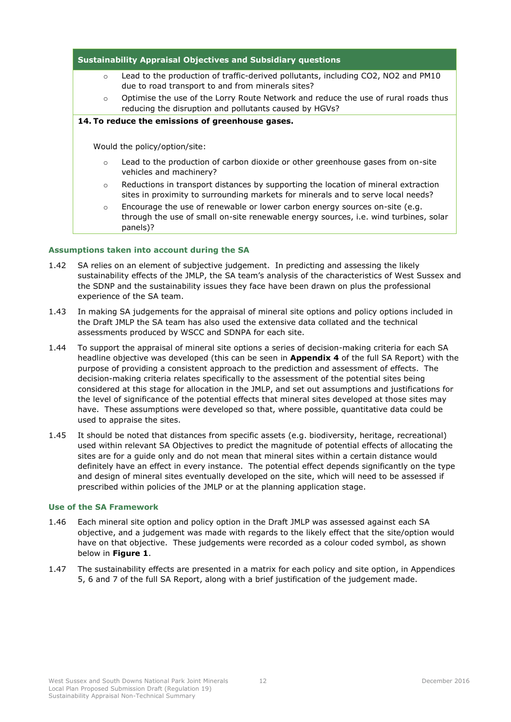| <b>Sustainability Appraisal Objectives and Subsidiary questions</b> |                                                                                                                                                                                 |  |  |  |  |  |  |
|---------------------------------------------------------------------|---------------------------------------------------------------------------------------------------------------------------------------------------------------------------------|--|--|--|--|--|--|
| $\circ$                                                             | Lead to the production of traffic-derived pollutants, including CO2, NO2 and PM10<br>due to road transport to and from minerals sites?                                          |  |  |  |  |  |  |
| $\circ$                                                             | Optimise the use of the Lorry Route Network and reduce the use of rural roads thus<br>reducing the disruption and pollutants caused by HGVs?                                    |  |  |  |  |  |  |
| 14. To reduce the emissions of greenhouse gases.                    |                                                                                                                                                                                 |  |  |  |  |  |  |
|                                                                     |                                                                                                                                                                                 |  |  |  |  |  |  |
|                                                                     | Would the policy/option/site:                                                                                                                                                   |  |  |  |  |  |  |
| $\circ$                                                             | Lead to the production of carbon dioxide or other greenhouse gases from on-site<br>vehicles and machinery?                                                                      |  |  |  |  |  |  |
| $\circ$                                                             | Reductions in transport distances by supporting the location of mineral extraction<br>sites in proximity to surrounding markets for minerals and to serve local needs?          |  |  |  |  |  |  |
| $\circ$                                                             | Encourage the use of renewable or lower carbon energy sources on-site (e.g.<br>through the use of small on-site renewable energy sources, i.e. wind turbines, solar<br>panels)? |  |  |  |  |  |  |

### **Assumptions taken into account during the SA**

- 1.42 SA relies on an element of subjective judgement. In predicting and assessing the likely sustainability effects of the JMLP, the SA team's analysis of the characteristics of West Sussex and the SDNP and the sustainability issues they face have been drawn on plus the professional experience of the SA team.
- 1.43 In making SA judgements for the appraisal of mineral site options and policy options included in the Draft JMLP the SA team has also used the extensive data collated and the technical assessments produced by WSCC and SDNPA for each site.
- 1.44 To support the appraisal of mineral site options a series of decision-making criteria for each SA headline objective was developed (this can be seen in **Appendix 4** of the full SA Report) with the purpose of providing a consistent approach to the prediction and assessment of effects. The decision-making criteria relates specifically to the assessment of the potential sites being considered at this stage for allocation in the JMLP, and set out assumptions and justifications for the level of significance of the potential effects that mineral sites developed at those sites may have. These assumptions were developed so that, where possible, quantitative data could be used to appraise the sites.
- 1.45 It should be noted that distances from specific assets (e.g. biodiversity, heritage, recreational) used within relevant SA Objectives to predict the magnitude of potential effects of allocating the sites are for a guide only and do not mean that mineral sites within a certain distance would definitely have an effect in every instance. The potential effect depends significantly on the type and design of mineral sites eventually developed on the site, which will need to be assessed if prescribed within policies of the JMLP or at the planning application stage.

#### **Use of the SA Framework**

- 1.46 Each mineral site option and policy option in the Draft JMLP was assessed against each SA objective, and a judgement was made with regards to the likely effect that the site/option would have on that objective. These judgements were recorded as a colour coded symbol, as shown below in **Figure 1**.
- 1.47 The sustainability effects are presented in a matrix for each policy and site option, in Appendices 5, 6 and 7 of the full SA Report, along with a brief justification of the judgement made.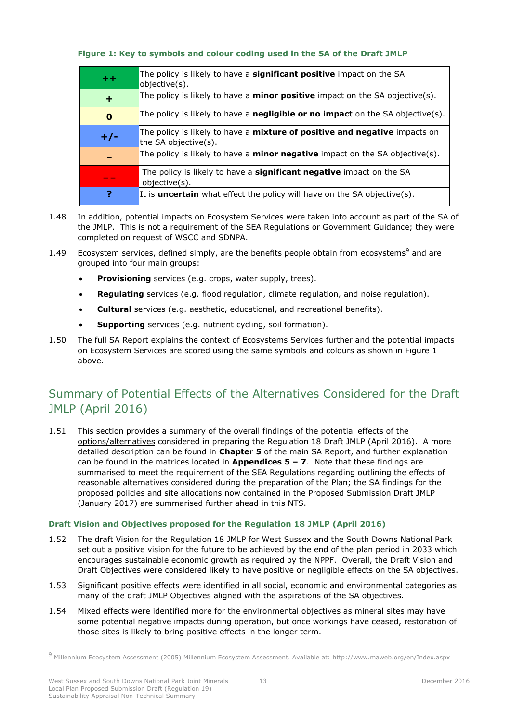#### **Figure 1: Key to symbols and colour coding used in the SA of the Draft JMLP**

| $+ +$    | The policy is likely to have a significant positive impact on the SA<br>objective(s).                     |
|----------|-----------------------------------------------------------------------------------------------------------|
| ÷        | The policy is likely to have a <b>minor positive</b> impact on the SA objective(s).                       |
| $\bf{0}$ | The policy is likely to have a negligible or no impact on the SA objective(s).                            |
| $+/-$    | The policy is likely to have a <b>mixture of positive and negative</b> impacts on<br>the SA objective(s). |
|          | The policy is likely to have a <b>minor negative</b> impact on the SA objective(s).                       |
|          | The policy is likely to have a significant negative impact on the SA<br>objective(s).                     |
|          | It is <b>uncertain</b> what effect the policy will have on the SA objective(s).                           |

- 1.48 In addition, potential impacts on Ecosystem Services were taken into account as part of the SA of the JMLP. This is not a requirement of the SEA Regulations or Government Guidance; they were completed on request of WSCC and SDNPA.
- 1.49 Ecosystem services, defined simply, are the benefits people obtain from ecosystems<sup>9</sup> and are grouped into four main groups:
	- **Provisioning** services (e.g. crops, water supply, trees).
	- **Regulating** services (e.g. flood regulation, climate regulation, and noise regulation).
	- **Cultural** services (e.g. aesthetic, educational, and recreational benefits).
	- **Supporting** services (e.g. nutrient cycling, soil formation).
- 1.50 The full SA Report explains the context of Ecosystems Services further and the potential impacts on Ecosystem Services are scored using the same symbols and colours as shown in Figure 1 above.

# <span id="page-16-0"></span>Summary of Potential Effects of the Alternatives Considered for the Draft JMLP (April 2016)

1.51 This section provides a summary of the overall findings of the potential effects of the options/alternatives considered in preparing the Regulation 18 Draft JMLP (April 2016). A more detailed description can be found in **Chapter 5** of the main SA Report, and further explanation can be found in the matrices located in **Appendices 5 – 7**. Note that these findings are summarised to meet the requirement of the SEA Regulations regarding outlining the effects of reasonable alternatives considered during the preparation of the Plan; the SA findings for the proposed policies and site allocations now contained in the Proposed Submission Draft JMLP (January 2017) are summarised further ahead in this NTS.

### **Draft Vision and Objectives proposed for the Regulation 18 JMLP (April 2016)**

- 1.52 The draft Vision for the Regulation 18 JMLP for West Sussex and the South Downs National Park set out a positive vision for the future to be achieved by the end of the plan period in 2033 which encourages sustainable economic growth as required by the NPPF. Overall, the Draft Vision and Draft Objectives were considered likely to have positive or negligible effects on the SA objectives.
- 1.53 Significant positive effects were identified in all social, economic and environmental categories as many of the draft JMLP Objectives aligned with the aspirations of the SA objectives.
- 1.54 Mixed effects were identified more for the environmental objectives as mineral sites may have some potential negative impacts during operation, but once workings have ceased, restoration of those sites is likely to bring positive effects in the longer term.

<sup>9</sup> Millennium Ecosystem Assessment (2005) Millennium Ecosystem Assessment. Available at:<http://www.maweb.org/en/Index.aspx>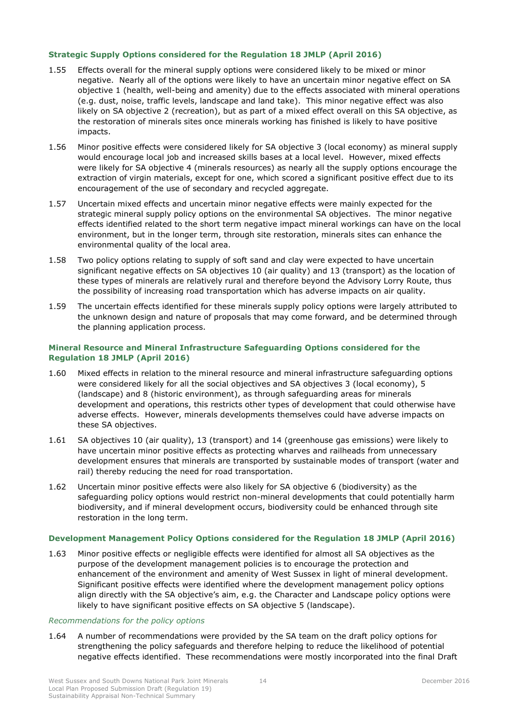#### **Strategic Supply Options considered for the Regulation 18 JMLP (April 2016)**

- 1.55 Effects overall for the mineral supply options were considered likely to be mixed or minor negative. Nearly all of the options were likely to have an uncertain minor negative effect on SA objective 1 (health, well-being and amenity) due to the effects associated with mineral operations (e.g. dust, noise, traffic levels, landscape and land take). This minor negative effect was also likely on SA objective 2 (recreation), but as part of a mixed effect overall on this SA objective, as the restoration of minerals sites once minerals working has finished is likely to have positive impacts.
- 1.56 Minor positive effects were considered likely for SA objective 3 (local economy) as mineral supply would encourage local job and increased skills bases at a local level. However, mixed effects were likely for SA objective 4 (minerals resources) as nearly all the supply options encourage the extraction of virgin materials, except for one, which scored a significant positive effect due to its encouragement of the use of secondary and recycled aggregate.
- 1.57 Uncertain mixed effects and uncertain minor negative effects were mainly expected for the strategic mineral supply policy options on the environmental SA objectives. The minor negative effects identified related to the short term negative impact mineral workings can have on the local environment, but in the longer term, through site restoration, minerals sites can enhance the environmental quality of the local area.
- 1.58 Two policy options relating to supply of soft sand and clay were expected to have uncertain significant negative effects on SA objectives 10 (air quality) and 13 (transport) as the location of these types of minerals are relatively rural and therefore beyond the Advisory Lorry Route, thus the possibility of increasing road transportation which has adverse impacts on air quality.
- 1.59 The uncertain effects identified for these minerals supply policy options were largely attributed to the unknown design and nature of proposals that may come forward, and be determined through the planning application process.

#### **Mineral Resource and Mineral Infrastructure Safeguarding Options considered for the Regulation 18 JMLP (April 2016)**

- 1.60 Mixed effects in relation to the mineral resource and mineral infrastructure safeguarding options were considered likely for all the social objectives and SA objectives 3 (local economy), 5 (landscape) and 8 (historic environment), as through safeguarding areas for minerals development and operations, this restricts other types of development that could otherwise have adverse effects. However, minerals developments themselves could have adverse impacts on these SA objectives.
- 1.61 SA objectives 10 (air quality), 13 (transport) and 14 (greenhouse gas emissions) were likely to have uncertain minor positive effects as protecting wharves and railheads from unnecessary development ensures that minerals are transported by sustainable modes of transport (water and rail) thereby reducing the need for road transportation.
- 1.62 Uncertain minor positive effects were also likely for SA objective 6 (biodiversity) as the safeguarding policy options would restrict non-mineral developments that could potentially harm biodiversity, and if mineral development occurs, biodiversity could be enhanced through site restoration in the long term.

#### **Development Management Policy Options considered for the Regulation 18 JMLP (April 2016)**

1.63 Minor positive effects or negligible effects were identified for almost all SA objectives as the purpose of the development management policies is to encourage the protection and enhancement of the environment and amenity of West Sussex in light of mineral development. Significant positive effects were identified where the development management policy options align directly with the SA objective's aim, e.g. the Character and Landscape policy options were likely to have significant positive effects on SA objective 5 (landscape).

#### *Recommendations for the policy options*

1.64 A number of recommendations were provided by the SA team on the draft policy options for strengthening the policy safeguards and therefore helping to reduce the likelihood of potential negative effects identified. These recommendations were mostly incorporated into the final Draft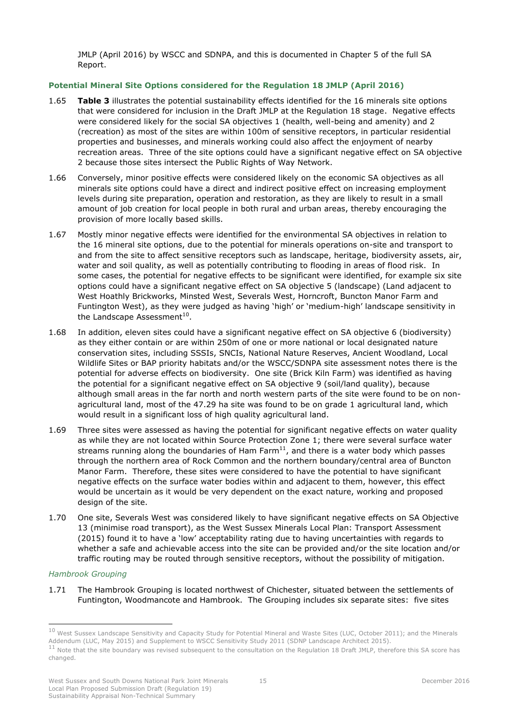JMLP (April 2016) by WSCC and SDNPA, and this is documented in Chapter 5 of the full SA Report.

## **Potential Mineral Site Options considered for the Regulation 18 JMLP (April 2016)**

- 1.65 **Table 3** illustrates the potential sustainability effects identified for the 16 minerals site options that were considered for inclusion in the Draft JMLP at the Regulation 18 stage. Negative effects were considered likely for the social SA objectives 1 (health, well-being and amenity) and 2 (recreation) as most of the sites are within 100m of sensitive receptors, in particular residential properties and businesses, and minerals working could also affect the enjoyment of nearby recreation areas. Three of the site options could have a significant negative effect on SA objective 2 because those sites intersect the Public Rights of Way Network.
- 1.66 Conversely, minor positive effects were considered likely on the economic SA objectives as all minerals site options could have a direct and indirect positive effect on increasing employment levels during site preparation, operation and restoration, as they are likely to result in a small amount of job creation for local people in both rural and urban areas, thereby encouraging the provision of more locally based skills.
- 1.67 Mostly minor negative effects were identified for the environmental SA objectives in relation to the 16 mineral site options, due to the potential for minerals operations on-site and transport to and from the site to affect sensitive receptors such as landscape, heritage, biodiversity assets, air, water and soil quality, as well as potentially contributing to flooding in areas of flood risk. In some cases, the potential for negative effects to be significant were identified, for example six site options could have a significant negative effect on SA objective 5 (landscape) (Land adjacent to West Hoathly Brickworks, Minsted West, Severals West, Horncroft, Buncton Manor Farm and Funtington West), as they were judged as having 'high' or 'medium-high' landscape sensitivity in the Landscape Assessment<sup>10</sup>.
- 1.68 In addition, eleven sites could have a significant negative effect on SA objective 6 (biodiversity) as they either contain or are within 250m of one or more national or local designated nature conservation sites, including SSSIs, SNCIs, National Nature Reserves, Ancient Woodland, Local Wildlife Sites or BAP priority habitats and/or the WSCC/SDNPA site assessment notes there is the potential for adverse effects on biodiversity. One site (Brick Kiln Farm) was identified as having the potential for a significant negative effect on SA objective 9 (soil/land quality), because although small areas in the far north and north western parts of the site were found to be on nonagricultural land, most of the 47.29 ha site was found to be on grade 1 agricultural land, which would result in a significant loss of high quality agricultural land.
- 1.69 Three sites were assessed as having the potential for significant negative effects on water quality as while they are not located within Source Protection Zone 1; there were several surface water streams running along the boundaries of Ham Farm $^{11}$ , and there is a water body which passes through the northern area of Rock Common and the northern boundary/central area of Buncton Manor Farm. Therefore, these sites were considered to have the potential to have significant negative effects on the surface water bodies within and adjacent to them, however, this effect would be uncertain as it would be very dependent on the exact nature, working and proposed design of the site.
- 1.70 One site, Severals West was considered likely to have significant negative effects on SA Objective 13 (minimise road transport), as the West Sussex Minerals Local Plan: Transport Assessment (2015) found it to have a 'low' acceptability rating due to having uncertainties with regards to whether a safe and achievable access into the site can be provided and/or the site location and/or traffic routing may be routed through sensitive receptors, without the possibility of mitigation.

#### *Hambrook Grouping*

-

1.71 The Hambrook Grouping is located northwest of Chichester, situated between the settlements of Funtington, Woodmancote and Hambrook. The Grouping includes six separate sites: five sites

 $^{10}$  West Sussex Landscape Sensitivity and Capacity Study for Potential Mineral and Waste Sites (LUC, October 2011); and the Minerals Addendum (LUC, May 2015) and Supplement to WSCC Sensitivity Study 2011 (SDNP Landscape Architect 2015).  $11$  Note that the site boundary was revised subsequent to the consultation on the Regulation 18 Draft JMLP, therefore this SA score has

changed.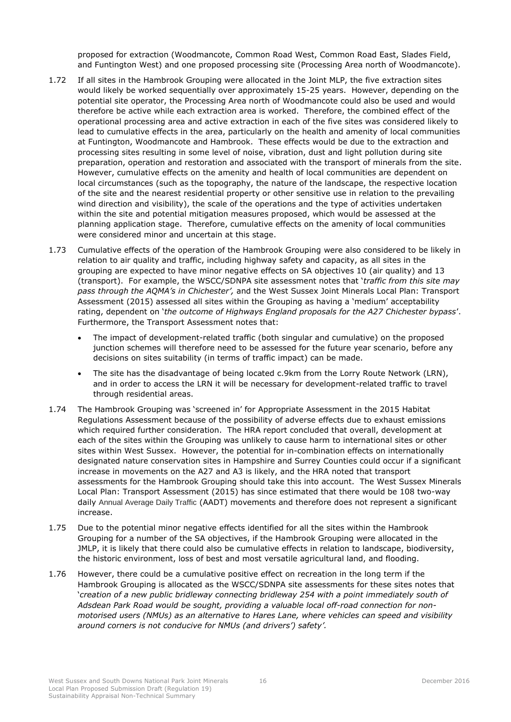proposed for extraction (Woodmancote, Common Road West, Common Road East, Slades Field, and Funtington West) and one proposed processing site (Processing Area north of Woodmancote).

- 1.72 If all sites in the Hambrook Grouping were allocated in the Joint MLP, the five extraction sites would likely be worked sequentially over approximately 15-25 years. However, depending on the potential site operator, the Processing Area north of Woodmancote could also be used and would therefore be active while each extraction area is worked. Therefore, the combined effect of the operational processing area and active extraction in each of the five sites was considered likely to lead to cumulative effects in the area, particularly on the health and amenity of local communities at Funtington, Woodmancote and Hambrook. These effects would be due to the extraction and processing sites resulting in some level of noise, vibration, dust and light pollution during site preparation, operation and restoration and associated with the transport of minerals from the site. However, cumulative effects on the amenity and health of local communities are dependent on local circumstances (such as the topography, the nature of the landscape, the respective location of the site and the nearest residential property or other sensitive use in relation to the prevailing wind direction and visibility), the scale of the operations and the type of activities undertaken within the site and potential mitigation measures proposed, which would be assessed at the planning application stage. Therefore, cumulative effects on the amenity of local communities were considered minor and uncertain at this stage.
- 1.73 Cumulative effects of the operation of the Hambrook Grouping were also considered to be likely in relation to air quality and traffic, including highway safety and capacity, as all sites in the grouping are expected to have minor negative effects on SA objectives 10 (air quality) and 13 (transport). For example, the WSCC/SDNPA site assessment notes that '*traffic from this site may pass through the AQMA's in Chichester',* and the West Sussex Joint Minerals Local Plan: Transport Assessment (2015) assessed all sites within the Grouping as having a 'medium' acceptability rating, dependent on '*the outcome of Highways England proposals for the A27 Chichester bypass*'. Furthermore, the Transport Assessment notes that:
	- The impact of development-related traffic (both singular and cumulative) on the proposed junction schemes will therefore need to be assessed for the future year scenario, before any decisions on sites suitability (in terms of traffic impact) can be made.
	- The site has the disadvantage of being located c.9km from the Lorry Route Network (LRN), and in order to access the LRN it will be necessary for development-related traffic to travel through residential areas.
- 1.74 The Hambrook Grouping was 'screened in' for Appropriate Assessment in the 2015 Habitat Regulations Assessment because of the possibility of adverse effects due to exhaust emissions which required further consideration. The HRA report concluded that overall, development at each of the sites within the Grouping was unlikely to cause harm to international sites or other sites within West Sussex. However, the potential for in-combination effects on internationally designated nature conservation sites in Hampshire and Surrey Counties could occur if a significant increase in movements on the A27 and A3 is likely, and the HRA noted that transport assessments for the Hambrook Grouping should take this into account. The West Sussex Minerals Local Plan: Transport Assessment (2015) has since estimated that there would be 108 two-way daily Annual Average Daily Traffic (AADT) movements and therefore does not represent a significant increase.
- 1.75 Due to the potential minor negative effects identified for all the sites within the Hambrook Grouping for a number of the SA objectives, if the Hambrook Grouping were allocated in the JMLP, it is likely that there could also be cumulative effects in relation to landscape, biodiversity, the historic environment, loss of best and most versatile agricultural land, and flooding.
- 1.76 However, there could be a cumulative positive effect on recreation in the long term if the Hambrook Grouping is allocated as the WSCC/SDNPA site assessments for these sites notes that *'*creation of a new public bridleway connecting bridleway 254 with a point immediately south of *Adsdean Park Road would be sought, providing a valuable local off-road connection for nonmotorised users (NMUs) as an alternative to Hares Lane, where vehicles can speed and visibility around corners is not conducive for NMUs (and drivers') safety'.*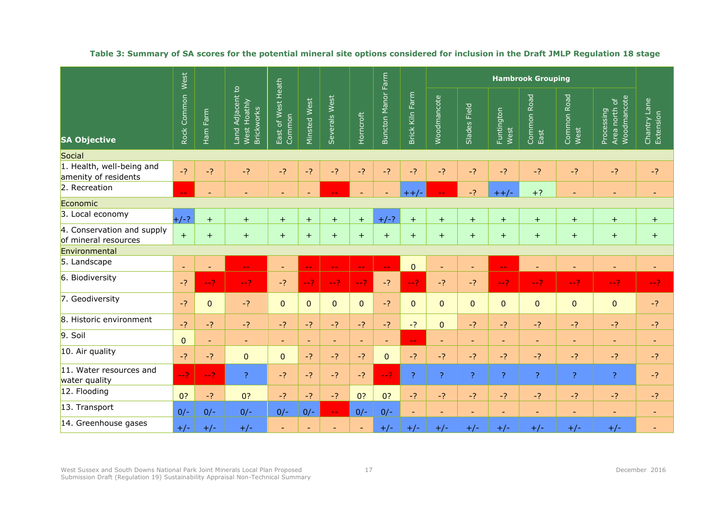|                                                    | West                     |                          |                                                       |                              |                 |                             |                          |                           |                    |                          |                          |                          |                          |                          |                                            |                           |
|----------------------------------------------------|--------------------------|--------------------------|-------------------------------------------------------|------------------------------|-----------------|-----------------------------|--------------------------|---------------------------|--------------------|--------------------------|--------------------------|--------------------------|--------------------------|--------------------------|--------------------------------------------|---------------------------|
| <b>SA Objective</b>                                | Rock Common              | Ham Farm                 | Land Adjacent to<br>West Hoathly<br><b>Brickworks</b> | East of West Heath<br>Common | Minsted West    | Severals West               | Horncroft                | <b>Buncton Manor Farm</b> | Farm<br>Brick Kiln | Woodmancote              | Slades Field             | Funtington<br>West       | Common Road<br>East      | Common Road<br>West      | Woodmancote<br>Area north of<br>Processing | Chantry Lane<br>Extension |
| Social                                             |                          |                          |                                                       |                              |                 |                             |                          |                           |                    |                          |                          |                          |                          |                          |                                            |                           |
| 1. Health, well-being and<br>amenity of residents  | $-2$                     | $-2$                     | $-2$                                                  | $-2$                         | $-2$            | $-2$                        | $-2$                     | $-2$                      | $-2$               | $-2$                     | $-2$                     | $-2$                     | $-2$                     | $-2$                     | $-2$                                       | $-2$                      |
| 2. Recreation                                      | $-1$                     | $\overline{\phantom{a}}$ | Ξ.                                                    | $\blacksquare$               | $\blacksquare$  |                             |                          | $\blacksquare$            | $++/$              | $ -$                     | $-2$                     | $++/-$                   | $+?$                     | $\equiv$                 | $\overline{\phantom{a}}$                   |                           |
| Economic                                           |                          |                          |                                                       |                              |                 |                             |                          |                           |                    |                          |                          |                          |                          |                          |                                            |                           |
| 3. Local economy                                   | $+/-?$                   | $+$                      | $+$                                                   | $+$                          | $+$             | $+$                         | $+$                      | $+/-?$                    | $+$                | $+$                      | $+$                      | $+$                      | $+$                      | $+$                      | $+$                                        | $+$                       |
| 4. Conservation and supply<br>of mineral resources | $+$                      | $+$                      | $+$                                                   | $+$                          | $+$             | $+$                         | $+$                      | $+$                       | $+$                | $+$                      | $+$                      | $+$                      | $\pm$                    | $+$                      | $+$                                        | $+$                       |
| Environmental                                      |                          |                          |                                                       |                              |                 |                             |                          |                           |                    |                          |                          |                          |                          |                          |                                            |                           |
| 5. Landscape                                       | $\overline{\phantom{a}}$ | $\overline{\phantom{a}}$ | $\overline{\phantom{a}}$                              | $\blacksquare$               | $\perp$ $\perp$ | $\mathbb{L} \mathbb{L}$     | $\perp$ $\perp$          | ΞĒ,                       | $\overline{0}$     | $\equiv$                 | $\equiv$                 | $\mathbb{L} \mathbb{L}$  |                          |                          | $\overline{\phantom{a}}$                   |                           |
| 6. Biodiversity                                    | $-?$                     | $-2$                     | $-2$                                                  | $-2$                         | $-2$            | $-2$                        | $-2$                     | $-2$                      | $-2$               | $-2$                     | $-2$                     | $-2$                     | $-2$                     | $-2$                     | $-2$                                       | $-2$                      |
| 7. Geodiversity                                    | $-2$                     | $\mathbf 0$              | -?                                                    | $\overline{0}$               | $\mathbf{0}$    | $\mathbf 0$                 | $\mathbf 0$              | $-?$                      | $\mathbf 0$        | $\mathbf{0}$             | $\overline{0}$           | 0                        | $\pmb{0}$                | $\mathbf 0$              | $\pmb{0}$                                  | $-2$                      |
| 8. Historic environment                            | $-2$                     | $-2$                     | $-2$                                                  | $-?$                         | $-2$            | $-?$                        | $-2$                     | $-2$                      | $-2$               | $\overline{0}$           | $-?$                     | $-?$                     | $-?$                     | $-2$                     | $-2$                                       | $-2$                      |
| 9. Soil                                            | $\mathbf{0}$             | $\blacksquare$           | $\overline{\phantom{a}}$                              | $\overline{\phantom{a}}$     | $\blacksquare$  | $\overline{\phantom{a}}$    | $\overline{\phantom{a}}$ | $\blacksquare$            | $\mathbf{u}$       | $\blacksquare$           | $\blacksquare$           | $\overline{\phantom{a}}$ | $\overline{\phantom{a}}$ | $\equiv$                 | $\overline{\phantom{a}}$                   | $\overline{\phantom{a}}$  |
| 10. Air quality                                    | $-2$                     | $-?$                     | $\mathbf 0$                                           | $\mathbf 0$                  | $-?$            | $-2$                        | $-2$                     | $\overline{0}$            | $-2$               | $-2$                     | $-?$                     | -?                       | $-?$                     | $-2$                     | $-?$                                       | $-2$                      |
| 11. Water resources and<br>water quality           | $-2^{1}$                 | $-2$                     | $\overline{?}$                                        | $-2$                         | $-2$            | $-2$                        | $-2$                     | $-2$                      | $\overline{?}$     | $\overline{?}$           | $\overline{?}$           | $\overline{?}$           | $\overline{?}$           | ?                        | $\overline{?}$                             | $-2$                      |
| 12. Flooding                                       | 0?                       | $-?$                     | 0?                                                    | $-2$                         | $-2$            | $-2$                        | 0?                       | 0?                        | $-2$               | $-2$                     | $-2$                     | $-2$                     | $-?$                     | $-2$                     | $-2$                                       | $-?$                      |
| 13. Transport                                      | $0/-$                    | $0/-$                    | $0/-$                                                 | $0/-$                        | $0/-$           | $\rightarrow$ $\rightarrow$ | $0/-$                    | $0/-$                     | $\blacksquare$     | $\overline{\phantom{a}}$ | $\overline{\phantom{a}}$ | $\overline{\phantom{a}}$ | $\overline{\phantom{a}}$ | $\overline{\phantom{a}}$ | ٠                                          | $\overline{\phantom{a}}$  |
| 14. Greenhouse gases                               | $+/-$                    | $+/-$                    | $+/-$                                                 | ٠                            | $\blacksquare$  |                             |                          | $+/-$                     | $+/-$              | $+/-$                    | $+/-$                    | $+/-$                    | $+/-$                    | $+/-$                    | $+/-$                                      |                           |

### **Table 3: Summary of SA scores for the potential mineral site options considered for inclusion in the Draft JMLP Regulation 18 stage**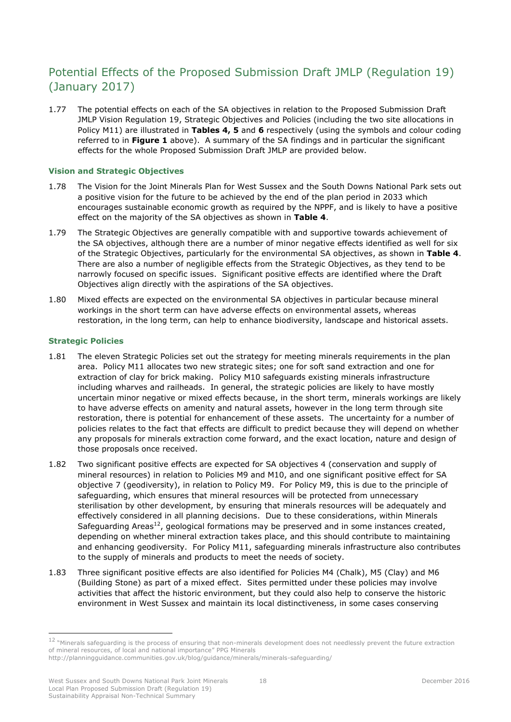# <span id="page-21-0"></span>Potential Effects of the Proposed Submission Draft JMLP (Regulation 19) (January 2017)

1.77 The potential effects on each of the SA objectives in relation to the Proposed Submission Draft JMLP Vision Regulation 19, Strategic Objectives and Policies (including the two site allocations in Policy M11) are illustrated in **Tables 4, 5** and **6** respectively (using the symbols and colour coding referred to in **Figure 1** above). A summary of the SA findings and in particular the significant effects for the whole Proposed Submission Draft JMLP are provided below.

### **Vision and Strategic Objectives**

- 1.78 The Vision for the Joint Minerals Plan for West Sussex and the South Downs National Park sets out a positive vision for the future to be achieved by the end of the plan period in 2033 which encourages sustainable economic growth as required by the NPPF, and is likely to have a positive effect on the majority of the SA objectives as shown in **Table 4**.
- 1.79 The Strategic Objectives are generally compatible with and supportive towards achievement of the SA objectives, although there are a number of minor negative effects identified as well for six of the Strategic Objectives, particularly for the environmental SA objectives, as shown in **Table 4**. There are also a number of negligible effects from the Strategic Objectives, as they tend to be narrowly focused on specific issues. Significant positive effects are identified where the Draft Objectives align directly with the aspirations of the SA objectives.
- 1.80 Mixed effects are expected on the environmental SA objectives in particular because mineral workings in the short term can have adverse effects on environmental assets, whereas restoration, in the long term, can help to enhance biodiversity, landscape and historical assets.

#### **Strategic Policies**

- 1.81 The eleven Strategic Policies set out the strategy for meeting minerals requirements in the plan area. Policy M11 allocates two new strategic sites; one for soft sand extraction and one for extraction of clay for brick making. Policy M10 safeguards existing minerals infrastructure including wharves and railheads. In general, the strategic policies are likely to have mostly uncertain minor negative or mixed effects because, in the short term, minerals workings are likely to have adverse effects on amenity and natural assets, however in the long term through site restoration, there is potential for enhancement of these assets. The uncertainty for a number of policies relates to the fact that effects are difficult to predict because they will depend on whether any proposals for minerals extraction come forward, and the exact location, nature and design of those proposals once received.
- 1.82 Two significant positive effects are expected for SA objectives 4 (conservation and supply of mineral resources) in relation to Policies M9 and M10, and one significant positive effect for SA objective 7 (geodiversity), in relation to Policy M9. For Policy M9, this is due to the principle of safeguarding, which ensures that mineral resources will be protected from unnecessary sterilisation by other development, by ensuring that minerals resources will be adequately and effectively considered in all planning decisions. Due to these considerations, within Minerals Safeguarding Areas<sup>12</sup>, geological formations may be preserved and in some instances created, depending on whether mineral extraction takes place, and this should contribute to maintaining and enhancing geodiversity. For Policy M11, safeguarding minerals infrastructure also contributes to the supply of minerals and products to meet the needs of society.
- 1.83 Three significant positive effects are also identified for Policies M4 (Chalk), M5 (Clay) and M6 (Building Stone) as part of a mixed effect. Sites permitted under these policies may involve activities that affect the historic environment, but they could also help to conserve the historic environment in West Sussex and maintain its local distinctiveness, in some cases conserving

 $12$  "Minerals safeguarding is the process of ensuring that non-minerals development does not needlessly prevent the future extraction of mineral resources, of local and national importance" PPG Minerals

http://planningguidance.communities.gov.uk/blog/guidance/minerals/minerals-safeguarding/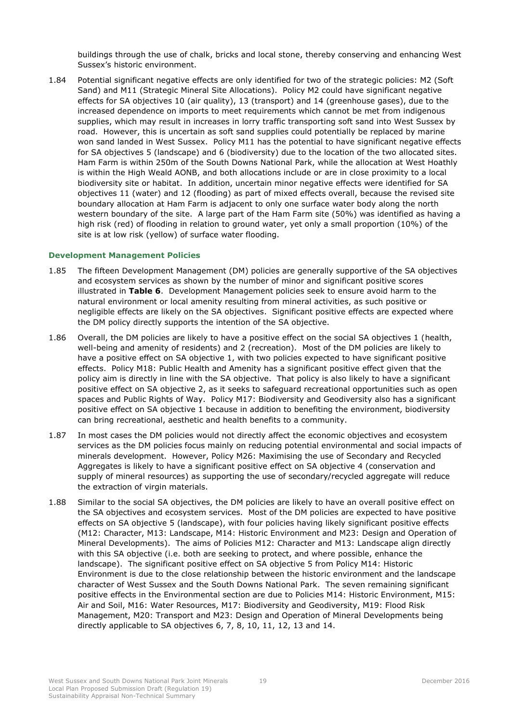buildings through the use of chalk, bricks and local stone, thereby conserving and enhancing West Sussex's historic environment.

1.84 Potential significant negative effects are only identified for two of the strategic policies: M2 (Soft Sand) and M11 (Strategic Mineral Site Allocations). Policy M2 could have significant negative effects for SA objectives 10 (air quality), 13 (transport) and 14 (greenhouse gases), due to the increased dependence on imports to meet requirements which cannot be met from indigenous supplies, which may result in increases in lorry traffic transporting soft sand into West Sussex by road. However, this is uncertain as soft sand supplies could potentially be replaced by marine won sand landed in West Sussex. Policy M11 has the potential to have significant negative effects for SA objectives 5 (landscape) and 6 (biodiversity) due to the location of the two allocated sites. Ham Farm is within 250m of the South Downs National Park, while the allocation at West Hoathly is within the High Weald AONB, and both allocations include or are in close proximity to a local biodiversity site or habitat. In addition, uncertain minor negative effects were identified for SA objectives 11 (water) and 12 (flooding) as part of mixed effects overall, because the revised site boundary allocation at Ham Farm is adjacent to only one surface water body along the north western boundary of the site. A large part of the Ham Farm site (50%) was identified as having a high risk (red) of flooding in relation to ground water, yet only a small proportion (10%) of the site is at low risk (yellow) of surface water flooding.

#### **Development Management Policies**

- 1.85 The fifteen Development Management (DM) policies are generally supportive of the SA objectives and ecosystem services as shown by the number of minor and significant positive scores illustrated in **Table 6**. Development Management policies seek to ensure avoid harm to the natural environment or local amenity resulting from mineral activities, as such positive or negligible effects are likely on the SA objectives. Significant positive effects are expected where the DM policy directly supports the intention of the SA objective.
- 1.86 Overall, the DM policies are likely to have a positive effect on the social SA objectives 1 (health, well-being and amenity of residents) and 2 (recreation). Most of the DM policies are likely to have a positive effect on SA objective 1, with two policies expected to have significant positive effects. Policy M18: Public Health and Amenity has a significant positive effect given that the policy aim is directly in line with the SA objective. That policy is also likely to have a significant positive effect on SA objective 2, as it seeks to safeguard recreational opportunities such as open spaces and Public Rights of Way. Policy M17: Biodiversity and Geodiversity also has a significant positive effect on SA objective 1 because in addition to benefiting the environment, biodiversity can bring recreational, aesthetic and health benefits to a community.
- 1.87 In most cases the DM policies would not directly affect the economic objectives and ecosystem services as the DM policies focus mainly on reducing potential environmental and social impacts of minerals development. However, Policy M26: Maximising the use of Secondary and Recycled Aggregates is likely to have a significant positive effect on SA objective 4 (conservation and supply of mineral resources) as supporting the use of secondary/recycled aggregate will reduce the extraction of virgin materials.
- 1.88 Similar to the social SA objectives, the DM policies are likely to have an overall positive effect on the SA objectives and ecosystem services. Most of the DM policies are expected to have positive effects on SA objective 5 (landscape), with four policies having likely significant positive effects (M12: Character, M13: Landscape, M14: Historic Environment and M23: Design and Operation of Mineral Developments). The aims of Policies M12: Character and M13: Landscape align directly with this SA objective (i.e. both are seeking to protect, and where possible, enhance the landscape). The significant positive effect on SA objective 5 from Policy M14: Historic Environment is due to the close relationship between the historic environment and the landscape character of West Sussex and the South Downs National Park. The seven remaining significant positive effects in the Environmental section are due to Policies M14: Historic Environment, M15: Air and Soil, M16: Water Resources, M17: Biodiversity and Geodiversity, M19: Flood Risk Management, M20: Transport and M23: Design and Operation of Mineral Developments being directly applicable to SA objectives 6, 7, 8, 10, 11, 12, 13 and 14.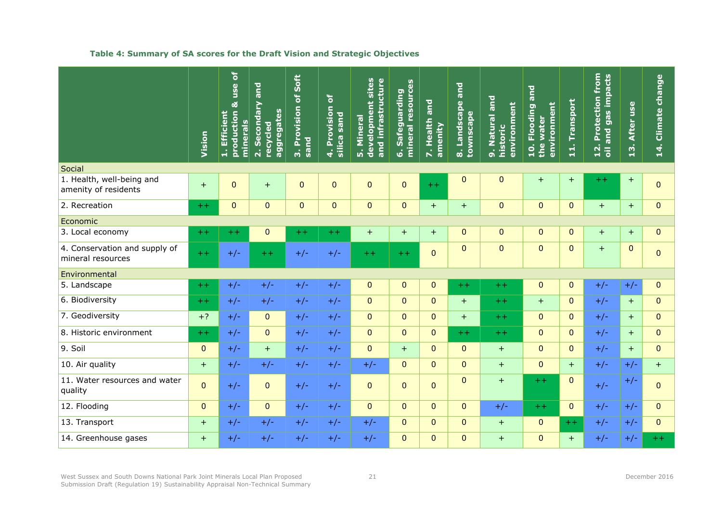### **Table 4: Summary of SA scores for the Draft Vision and Strategic Objectives**

|                                                    | Vision         | $\delta$<br>use<br>ಹ<br>production<br>1. Efficient<br>minerals | and<br>2. Secondary<br>aggregates<br>recycled | Soft<br>3. Provision of<br>sand | ð<br>4. Provision<br><b>Dues</b><br>silica | 5. Mineral<br>development sites<br>and infrastructure<br>Mineral | mineral resources<br>Safeguarding<br>َقْ | 7. Health and<br>amenity | and<br>8. Landscape<br>townscape | 9. Natural and<br>environment<br>historic | Flooding and<br>environment<br>water<br>$\frac{1}{2}$<br>the | Transport<br>$\vec{a}$ | 12. Protection from<br>oil and gas impacts | 13. After use | 14. Climate change |
|----------------------------------------------------|----------------|----------------------------------------------------------------|-----------------------------------------------|---------------------------------|--------------------------------------------|------------------------------------------------------------------|------------------------------------------|--------------------------|----------------------------------|-------------------------------------------|--------------------------------------------------------------|------------------------|--------------------------------------------|---------------|--------------------|
| Social                                             |                |                                                                |                                               |                                 |                                            |                                                                  |                                          |                          |                                  |                                           |                                                              |                        |                                            |               |                    |
| 1. Health, well-being and<br>amenity of residents  | $+$            | $\mathbf{0}$                                                   | $+$                                           | $\mathbf{0}$                    | $\mathbf{0}$                               | $\pmb{0}$                                                        | $\pmb{0}$                                | $+ +$                    | $\mathbf 0$                      | $\mathbf{0}$                              | $+$                                                          | $+$                    | $+ +$                                      | $+$           | $\overline{0}$     |
| 2. Recreation                                      | $++$           | $\mathbf{0}$                                                   | $\overline{0}$                                | $\overline{0}$                  | $\mathbf 0$                                | $\pmb{0}$                                                        | $\pmb{0}$                                | $+$                      | $+$                              | $\overline{0}$                            | $\overline{0}$                                               | $\overline{0}$         | $+$                                        | $+$           | $\pmb{0}$          |
| Economic                                           |                |                                                                |                                               |                                 |                                            |                                                                  |                                          |                          |                                  |                                           |                                                              |                        |                                            |               |                    |
| 3. Local economy                                   | $+ +$          | $+ +$                                                          | $\overline{0}$                                | $+ +$                           | $++$                                       | $+$                                                              | $+$                                      | $+$                      | $\Omega$                         | $\mathbf{0}$                              | $\overline{0}$                                               | $\Omega$               | $+$                                        | $+$           | $\overline{0}$     |
| 4. Conservation and supply of<br>mineral resources | $++$           | $+/-$                                                          | $++$                                          | $+/-$                           | $+/-$                                      | $++$                                                             | $++$                                     | $\mathbf{0}$             | $\mathbf 0$                      | $\mathbf{0}$                              | $\overline{0}$                                               | $\Omega$               | $+$                                        | $\mathbf 0$   | $\overline{0}$     |
| Environmental                                      |                |                                                                |                                               |                                 |                                            |                                                                  |                                          |                          |                                  |                                           |                                                              |                        |                                            |               |                    |
| 5. Landscape                                       | $+ +$          | $+/-$                                                          | $+/-$                                         | $+/-$                           | $+/-$                                      | $\mathbf{0}$                                                     | $\pmb{0}$                                | $\overline{0}$           | $+ +$                            | $+ +$                                     | $\overline{0}$                                               | $\Omega$               | $+/-$                                      | $+/-$         | $\mathbf{0}$       |
| 6. Biodiversity                                    | $+ +$          | $+/-$                                                          | $+/-$                                         | $+/-$                           | $+/-$                                      | $\mathbf{0}$                                                     | $\mathbf{0}$                             | $\overline{0}$           | $+$                              | $+ +$                                     | $+$                                                          | $\mathbf{0}$           | $+/-$                                      | $+$           | $\overline{0}$     |
| 7. Geodiversity                                    | $+?$           | $+/-$                                                          | $\mathbf{0}$                                  | $+/-$                           | $+/-$                                      | $\mathbf{0}$                                                     | $\mathbf{0}$                             | $\overline{0}$           | $+$                              | $+ +$                                     | $\mathbf{0}$                                                 | $\mathbf{0}$           | $+/-$                                      | $+$           | $\overline{0}$     |
| 8. Historic environment                            | $+ +$          | $+/-$                                                          | $\overline{0}$                                | $+/-$                           | $+/-$                                      | $\mathbf 0$                                                      | $\mathbf 0$                              | $\overline{0}$           | $++$                             | $+ +$                                     | $\overline{0}$                                               | $\mathbf{0}$           | $+/-$                                      | $+$           | $\overline{0}$     |
| 9. Soil                                            | $\mathbf{0}$   | $+/-$                                                          | $+$                                           | $+/-$                           | $+/-$                                      | $\pmb{0}$                                                        | $+$                                      | $\overline{0}$           | $\mathbf{0}$                     | $+$                                       | $\overline{0}$                                               | $\Omega$               | $+/-$                                      | $+$           | $\mathbf 0$        |
| 10. Air quality                                    | $+$            | $+/-$                                                          | $+/-$                                         | $+/-$                           | $+/-$                                      | $+/-$                                                            | $\mathbf{0}$                             | $\overline{0}$           | $\Omega$                         | $+$                                       | $\overline{0}$                                               | $+$                    | $+/-$                                      | $+/-$         | $+$                |
| 11. Water resources and water<br>quality           | $\overline{0}$ | $+/-$                                                          | $\mathbf{0}$                                  | $+/-$                           | $+/-$                                      | $\mathbf{0}$                                                     | $\mathbf 0$                              | $\overline{0}$           | $\overline{0}$                   | $+$                                       | $+ +$                                                        | $\mathbf{0}$           | $+/-$                                      | $+/-$         | $\overline{0}$     |
| 12. Flooding                                       | $\mathbf{0}$   | $+/-$                                                          | $\Omega$                                      | $+/-$                           | $+/-$                                      | $\mathbf{0}$                                                     | $\mathbf{0}$                             | $\overline{0}$           | $\overline{0}$                   | $+/-$                                     | $++$                                                         | $\Omega$               | $+/-$                                      | $+/-$         | $\overline{0}$     |
| 13. Transport                                      | $+$            | $+/-$                                                          | $+/-$                                         | $+/-$                           | $+/-$                                      | $+/-$                                                            | $\mathbf{0}$                             | $\overline{0}$           | $\overline{0}$                   | $+$                                       | $\overline{0}$                                               | $++$                   | $+/-$                                      | $+/-$         | $\overline{0}$     |
| 14. Greenhouse gases                               | $+$            | $+/-$                                                          | $+/-$                                         | $+/-$                           | $+/-$                                      | $+/-$                                                            | $\mathbf 0$                              | $\overline{0}$           | $\mathbf 0$                      | $+$                                       | $\overline{0}$                                               | $+$                    | $+/-$                                      | $+/-$         | $++$               |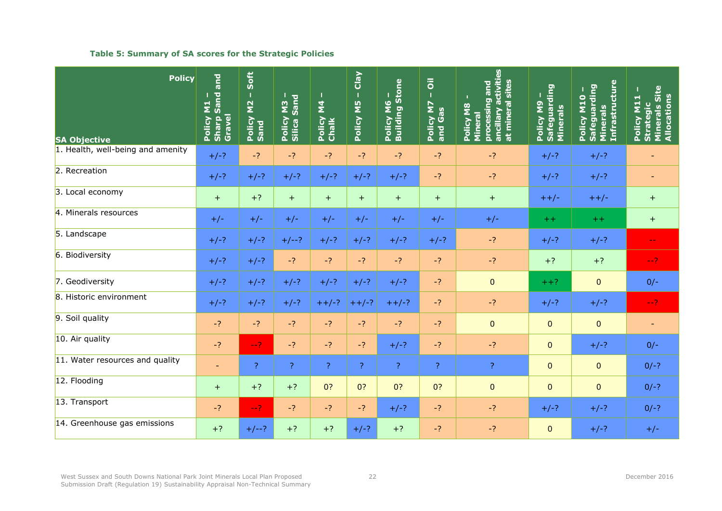### **Table 5: Summary of SA scores for the Strategic Policies**

| <b>Policy</b><br><b>SA Objective</b> | and<br>Policy M1 -<br>Sharp Sand a<br>Gravel | Soft<br>$\mathbf I$<br>Policy M2 .<br>Sand | Sand<br>Policy M3<br>Silica Sanc | $\mathbf{z}$<br>Policy I<br>Chalk | <b>Clay</b><br>- SM Voilod | Policy M6 -<br>Building Stone | $\overline{\overline{o}}$<br>Т<br>$\overline{\mathbf{z}}$<br>Policy M <sub>i</sub><br>and Gas | ancillary activities<br>at mineral sites<br>processing and<br>U.<br>Policy M8<br>Mineral | Policy M9 –<br>Safeguarding<br>Minerals | <b>Infrastructure</b><br>Policy M10 -<br>Safeguarding<br>Minerals | Policy M11 –<br>Strategic<br>Minerals Site<br>Allocations |
|--------------------------------------|----------------------------------------------|--------------------------------------------|----------------------------------|-----------------------------------|----------------------------|-------------------------------|-----------------------------------------------------------------------------------------------|------------------------------------------------------------------------------------------|-----------------------------------------|-------------------------------------------------------------------|-----------------------------------------------------------|
| 1. Health, well-being and amenity    | $+/-?$                                       | $-2$                                       | $-2$                             | $-2$                              | $-?$                       | $-2$                          | $-2$                                                                                          | $-2$                                                                                     | $+/-?$                                  | $+/-?$                                                            |                                                           |
| 2. Recreation                        | $+/-?$                                       | $+/-?$                                     | $+/-?$                           | $+/-?$                            | $+/-?$                     | $+/-?$                        | $-2$                                                                                          | $-2$                                                                                     | $+/-?$                                  | $+/-?$                                                            | $\overline{\phantom{a}}$                                  |
| 3. Local economy                     | $+$                                          | $+?$                                       | $+$                              | $+$                               | $+$                        | $+$                           | $+$                                                                                           | $+$                                                                                      | $++/-$                                  | $++/-$                                                            | $+$                                                       |
| 4. Minerals resources                | $+/-$                                        | $+/-$                                      | $+/-$                            | $+/-$                             | $+/-$                      | $+/-$                         | $+/-$                                                                                         | $+/-$                                                                                    | $+ +$                                   | $+ +$                                                             | $+$                                                       |
| 5. Landscape                         | $+/-?$                                       | $+/-?$                                     | $+/--?$                          | $+/-?$                            | $+/-?$                     | $+/-?$                        | $+/-?$                                                                                        | $-2$                                                                                     | $+/-?$                                  | $+/-?$                                                            | $\rightarrow$ $\rightarrow$                               |
| 6. Biodiversity                      | $+/-?$                                       | $+/-?$                                     | $-2$                             | $-2$                              | $-2$                       | $-2$                          | $-2$                                                                                          | $-2$                                                                                     | $+?$                                    | $+?$                                                              | $-2$                                                      |
| 7. Geodiversity                      | $+/-?$                                       | $+/-?$                                     | $+/-?$                           | $+/-?$                            | $+/-?$                     | $+/-?$                        | $-2$                                                                                          | $\pmb{0}$                                                                                | $++?$                                   | $\overline{0}$                                                    | $0/-$                                                     |
| 8. Historic environment              | $+/-?$                                       | $+/-?$                                     | $+/-?$                           | $++/-?$                           | $++/-?$                    | $++/-?$                       | $-2$                                                                                          | $-2$                                                                                     | $+/-?$                                  | $+/-?$                                                            | $-2$                                                      |
| 9. Soil quality                      | $-2$                                         | $-?$                                       | $-2$                             | $-2$                              | $-2$                       | $-2$                          | $-2$                                                                                          | $\pmb{0}$                                                                                | $\overline{0}$                          | $\overline{0}$                                                    | $\sim$                                                    |
| 10. Air quality                      | $-?$                                         | $-2$                                       | $-?$                             | $-2$                              | $-?$                       | $+/-?$                        | $-?$                                                                                          | $-?$                                                                                     | $\mathbf{0}$                            | $+/-?$                                                            | $0/-$                                                     |
| 11. Water resources and quality      | $\overline{\phantom{a}}$                     | $\overline{?}$                             | $\overline{?}$                   | $\mathcal{P}$                     | ?                          | $\overline{?}$                | $\mathcal{P}$                                                                                 | $\overline{?}$                                                                           | $\mathbf{0}$                            | $\mathbf{0}$                                                      | $0/-?$                                                    |
| 12. Flooding                         | $+$                                          | $+?$                                       | $+?$                             | 0?                                | 0?                         | 0?                            | 0?                                                                                            | $\pmb{0}$                                                                                | $\mathbf{0}$                            | $\overline{0}$                                                    | $0/-?$                                                    |
| 13. Transport                        | $-2$                                         | $-2$                                       | $-2$                             | $-2$                              | $-?$                       | $+/-?$                        | $-2$                                                                                          | $-2$                                                                                     | $+/-?$                                  | $+/-?$                                                            | $0/-?$                                                    |
| 14. Greenhouse gas emissions         | $+?$                                         | $+/--?$                                    | $+?$                             | $+?$                              | $+/-?$                     | $+?$                          | $-2$                                                                                          | $-2$                                                                                     | $\mathbf{0}$                            | $+/-?$                                                            | $+/-$                                                     |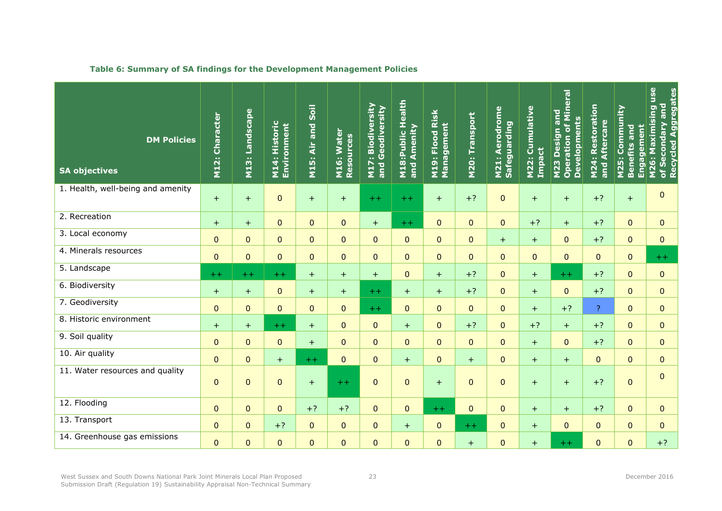| <b>DM Policies</b><br><b>SA objectives</b> | M12: Character | M13: Landscape | M14: Historic<br>Environment | Soil<br>M15: Air and | M16: Water<br>Resources | M17: Biodiversity<br>and Geodiversity | <b>M18:Public Health</b><br>and Amenity | M19: Flood Risk<br>Management | <b>M20: Transport</b> | M21: Aerodrome<br>Safeguarding | M22: Cumulative<br>Impact | <b>Operation of Mineral</b><br>M23 Design and<br><b>Developments</b> | <b>M24: Restoration</b><br>Aftercare<br>and | M25: Community<br><b>Engagement</b><br><b>Benefits and</b> | M26: Maximising use<br>Recycled Aggregates<br>and<br>Condary<br>of Se |
|--------------------------------------------|----------------|----------------|------------------------------|----------------------|-------------------------|---------------------------------------|-----------------------------------------|-------------------------------|-----------------------|--------------------------------|---------------------------|----------------------------------------------------------------------|---------------------------------------------|------------------------------------------------------------|-----------------------------------------------------------------------|
| 1. Health, well-being and amenity          | $+$            | $+$            | $\mathbf{0}$                 | $+$                  | $+$                     | $+ +$                                 | $++$                                    | $+$                           | $+?$                  | $\mathbf 0$                    | $+$                       | $+$                                                                  | $+?$                                        | $+$                                                        | $\pmb{0}$                                                             |
| 2. Recreation                              | $+$            | $+$            | $\Omega$                     | $\mathbf{0}$         | $\mathbf 0$             | $+$                                   | $++$                                    | $\mathbf{0}$                  | $\overline{0}$        | $\overline{0}$                 | $+?$                      | $+$                                                                  | $+?$                                        | $\overline{0}$                                             | $\Omega$                                                              |
| 3. Local economy                           | $\mathbf{0}$   | $\overline{0}$ | $\overline{0}$               | $\mathbf{0}$         | $\mathbf 0$             | $\overline{0}$                        | $\overline{0}$                          | $\mathbf{0}$                  | $\mathbf{0}$          | $+$                            | $+$                       | $\mathbf{0}$                                                         | $+?$                                        | $\overline{0}$                                             | $\mathbf{0}$                                                          |
| 4. Minerals resources                      | $\mathbf{0}$   | $\overline{0}$ | $\overline{0}$               | $\mathbf{0}$         | $\mathbf 0$             | $\overline{0}$                        | $\mathbf 0$                             | $\mathbf{0}$                  | $\Omega$              | $\Omega$                       | $\mathbf{0}$              | $\overline{0}$                                                       | $\overline{0}$                              | $\overline{0}$                                             | $+ +$                                                                 |
| 5. Landscape                               | $+ +$          | $++$           | $+ +$                        | $+$                  | $+$                     | $+$                                   | $\pmb{0}$                               | $+$                           | $+?$                  | $\mathbf 0$                    | $+$                       | $+ +$                                                                | $+?$                                        | $\overline{0}$                                             | $\mathbf{0}$                                                          |
| 6. Biodiversity                            | $+$            | $+$            | $\mathbf{0}$                 | $+$                  | $+$                     | $++$                                  | $+$                                     | $+$                           | $+?$                  | $\overline{0}$                 | $+$                       | $\Omega$                                                             | $+?$                                        | $\overline{0}$                                             | $\mathbf{0}$                                                          |
| 7. Geodiversity                            | $\mathbf{0}$   | $\overline{0}$ | $\Omega$                     | $\mathbf{0}$         | $\overline{0}$          | $+ +$                                 | $\mathbf 0$                             | $\overline{0}$                | $\overline{0}$        | $\Omega$                       | $+$                       | $+?$                                                                 | $\mathbf{P}$                                | $\overline{0}$                                             | $\mathbf{0}$                                                          |
| 8. Historic environment                    | $+$            | $+$            | $++$                         | $+$                  | $\mathbf 0$             | $\overline{0}$                        | $+$                                     | $\mathbf{0}$                  | $+?$                  | $\mathbf 0$                    | $+?$                      | $+$                                                                  | $+?$                                        | $\overline{0}$                                             | $\mathbf{0}$                                                          |
| 9. Soil quality                            | $\overline{0}$ | $\overline{0}$ | $\overline{0}$               | $+$                  | $\mathbf{0}$            | $\overline{0}$                        | $\pmb{0}$                               | $\overline{0}$                | $\mathbf{0}$          | $\mathbf{0}$                   | $+$                       | $\mathbf{0}$                                                         | $+?$                                        | $\overline{0}$                                             | $\mathbf{0}$                                                          |
| 10. Air quality                            | $\overline{0}$ | $\overline{0}$ | $+$                          | $+ +$                | $\mathbf{0}$            | $\overline{0}$                        | $+$                                     | $\mathbf{0}$                  | $+$                   | $\mathbf{0}$                   | $+$                       | $+$                                                                  | $\Omega$                                    | $\overline{0}$                                             | $\mathbf{0}$                                                          |
| 11. Water resources and quality            | $\mathbf{0}$   | $\mathbf{0}$   | $\mathbf 0$                  | $+$                  | $+ +$                   | $\pmb{0}$                             | $\pmb{0}$                               | $+$                           | $\mathbf{0}$          | $\mathbf 0$                    | $+$                       | $+$                                                                  | $+?$                                        | $\overline{0}$                                             | $\mathbf{0}$                                                          |
| 12. Flooding                               | $\overline{0}$ | $\overline{0}$ | $\Omega$                     | $+?$                 | $+?$                    | $\overline{0}$                        | $\pmb{0}$                               | $+ +$                         | $\overline{0}$        | $\mathbf{0}$                   | $+$                       | $+$                                                                  | $+?$                                        | $\overline{0}$                                             | $\overline{0}$                                                        |
| 13. Transport                              | $\mathbf{0}$   | $\overline{0}$ | $+?$                         | $\mathbf{0}$         | $\mathbf{0}$            | $\pmb{0}$                             | $+$                                     | $\mathbf{0}$                  | $+ +$                 | $\mathbf{0}$                   | $+$                       | $\Omega$                                                             | $\Omega$                                    | $\Omega$                                                   | $\mathbf{0}$                                                          |
| 14. Greenhouse gas emissions               | $\overline{0}$ | $\mathbf 0$    | $\mathbf{0}$                 | $\mathbf{0}$         | $\pmb{0}$               | $\pmb{0}$                             | $\pmb{0}$                               | 0                             | $+$                   | $\mathbf 0$                    | $+$                       | $+ +$                                                                | 0                                           | $\overline{0}$                                             | $+?$                                                                  |

### **Table 6: Summary of SA findings for the Development Management Policies**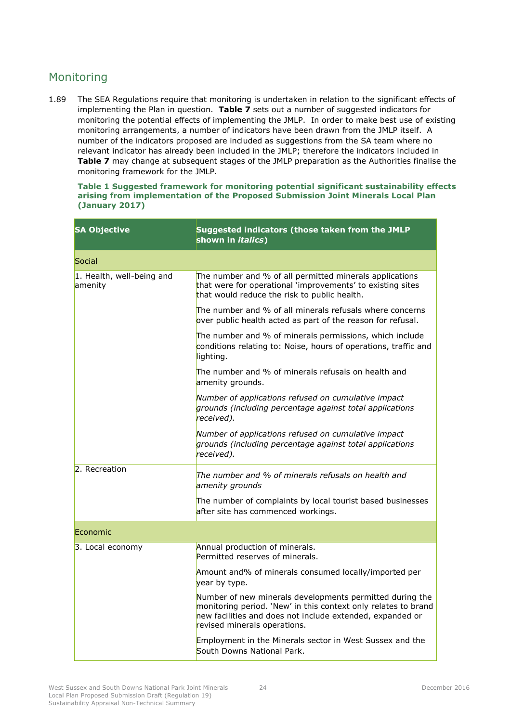# <span id="page-27-0"></span>Monitoring

1.89 The SEA Regulations require that monitoring is undertaken in relation to the significant effects of implementing the Plan in question. **Table 7** sets out a number of suggested indicators for monitoring the potential effects of implementing the JMLP. In order to make best use of existing monitoring arrangements, a number of indicators have been drawn from the JMLP itself. A number of the indicators proposed are included as suggestions from the SA team where no relevant indicator has already been included in the JMLP; therefore the indicators included in **Table 7** may change at subsequent stages of the JMLP preparation as the Authorities finalise the monitoring framework for the JMLP.

| <b>SA Objective</b>                  | Suggested indicators (those taken from the JMLP<br>shown in <i>italics</i> )                                                                                                                                            |  |  |  |  |  |
|--------------------------------------|-------------------------------------------------------------------------------------------------------------------------------------------------------------------------------------------------------------------------|--|--|--|--|--|
| Social                               |                                                                                                                                                                                                                         |  |  |  |  |  |
| 1. Health, well-being and<br>amenity | The number and % of all permitted minerals applications<br>that were for operational 'improvements' to existing sites<br>that would reduce the risk to public health.                                                   |  |  |  |  |  |
|                                      | The number and % of all minerals refusals where concerns<br>over public health acted as part of the reason for refusal.                                                                                                 |  |  |  |  |  |
|                                      | The number and % of minerals permissions, which include<br>conditions relating to: Noise, hours of operations, traffic and<br>lighting.                                                                                 |  |  |  |  |  |
|                                      | The number and % of minerals refusals on health and<br>amenity grounds.                                                                                                                                                 |  |  |  |  |  |
|                                      | Number of applications refused on cumulative impact<br>grounds (including percentage against total applications<br>received).                                                                                           |  |  |  |  |  |
|                                      | Number of applications refused on cumulative impact<br>grounds (including percentage against total applications<br>received).                                                                                           |  |  |  |  |  |
| 2. Recreation                        | The number and % of minerals refusals on health and<br>amenity grounds                                                                                                                                                  |  |  |  |  |  |
|                                      | The number of complaints by local tourist based businesses<br>after site has commenced workings.                                                                                                                        |  |  |  |  |  |
| Economic                             |                                                                                                                                                                                                                         |  |  |  |  |  |
| 3. Local economy                     | Annual production of minerals.<br>Permitted reserves of minerals.                                                                                                                                                       |  |  |  |  |  |
|                                      | Amount and% of minerals consumed locally/imported per<br>year by type.                                                                                                                                                  |  |  |  |  |  |
|                                      | Number of new minerals developments permitted during the<br>monitoring period. 'New' in this context only relates to brand<br>new facilities and does not include extended, expanded or<br>revised minerals operations. |  |  |  |  |  |
|                                      | Employment in the Minerals sector in West Sussex and the<br>South Downs National Park.                                                                                                                                  |  |  |  |  |  |

#### **Table 1 Suggested framework for monitoring potential significant sustainability effects arising from implementation of the Proposed Submission Joint Minerals Local Plan (January 2017)**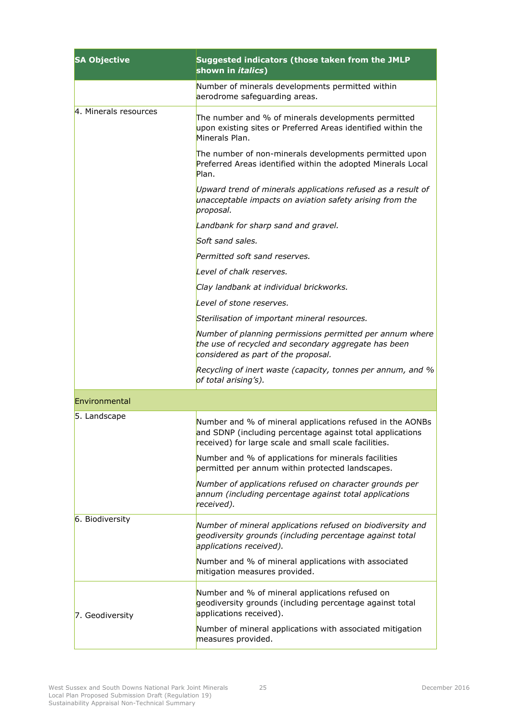| <b>SA Objective</b>   | Suggested indicators (those taken from the JMLP<br>shown in <i>italics</i> )                                                                                                    |  |  |  |  |  |  |
|-----------------------|---------------------------------------------------------------------------------------------------------------------------------------------------------------------------------|--|--|--|--|--|--|
|                       | Number of minerals developments permitted within<br>aerodrome safeguarding areas.                                                                                               |  |  |  |  |  |  |
| 4. Minerals resources | The number and % of minerals developments permitted<br>upon existing sites or Preferred Areas identified within the<br>Minerals Plan.                                           |  |  |  |  |  |  |
|                       | The number of non-minerals developments permitted upon<br>Preferred Areas identified within the adopted Minerals Local<br>Plan.                                                 |  |  |  |  |  |  |
|                       | Upward trend of minerals applications refused as a result of<br>unacceptable impacts on aviation safety arising from the<br>proposal.                                           |  |  |  |  |  |  |
|                       | Landbank for sharp sand and gravel.                                                                                                                                             |  |  |  |  |  |  |
|                       | Soft sand sales.                                                                                                                                                                |  |  |  |  |  |  |
|                       | Permitted soft sand reserves.                                                                                                                                                   |  |  |  |  |  |  |
|                       | Level of chalk reserves.                                                                                                                                                        |  |  |  |  |  |  |
|                       | Clay landbank at individual brickworks.                                                                                                                                         |  |  |  |  |  |  |
|                       | Level of stone reserves.                                                                                                                                                        |  |  |  |  |  |  |
|                       | Sterilisation of important mineral resources.                                                                                                                                   |  |  |  |  |  |  |
|                       | Number of planning permissions permitted per annum where<br>the use of recycled and secondary aggregate has been<br>considered as part of the proposal.                         |  |  |  |  |  |  |
|                       | Recycling of inert waste (capacity, tonnes per annum, and %<br>of total arising's).                                                                                             |  |  |  |  |  |  |
| Environmental         |                                                                                                                                                                                 |  |  |  |  |  |  |
| 5. Landscape          | Number and % of mineral applications refused in the AONBs<br>and SDNP (including percentage against total applications<br>received) for large scale and small scale facilities. |  |  |  |  |  |  |
|                       | Number and % of applications for minerals facilities<br>permitted per annum within protected landscapes.                                                                        |  |  |  |  |  |  |
|                       | Number of applications refused on character grounds per<br>annum (including percentage against total applications<br>received).                                                 |  |  |  |  |  |  |
| 6. Biodiversity       | Number of mineral applications refused on biodiversity and<br>geodiversity grounds (including percentage against total<br>applications received).                               |  |  |  |  |  |  |
|                       | Number and % of mineral applications with associated<br>mitigation measures provided.                                                                                           |  |  |  |  |  |  |
| 7. Geodiversity       | Number and % of mineral applications refused on<br>geodiversity grounds (including percentage against total<br>applications received).                                          |  |  |  |  |  |  |
|                       | Number of mineral applications with associated mitigation<br>measures provided.                                                                                                 |  |  |  |  |  |  |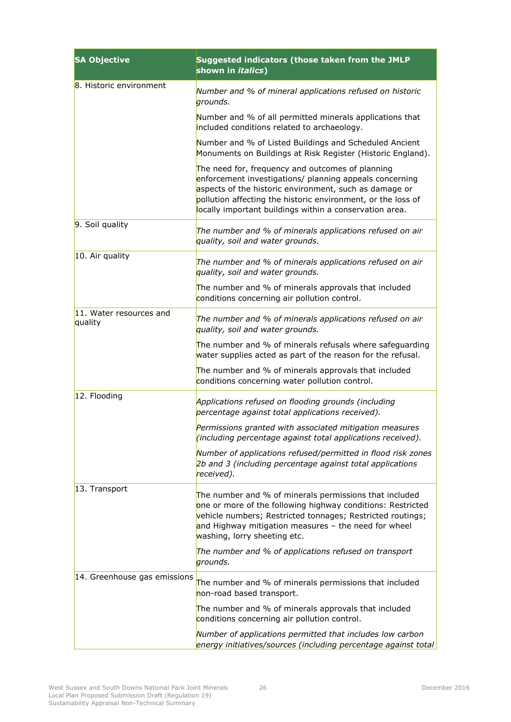| <b>SA Objective</b>                | Suggested indicators (those taken from the JMLP<br>shown in <i>italics</i> )                                                                                                                                                                                                                     |
|------------------------------------|--------------------------------------------------------------------------------------------------------------------------------------------------------------------------------------------------------------------------------------------------------------------------------------------------|
| 8. Historic environment            | Number and % of mineral applications refused on historic<br>grounds.                                                                                                                                                                                                                             |
|                                    | Number and % of all permitted minerals applications that<br>included conditions related to archaeology.                                                                                                                                                                                          |
|                                    | Number and % of Listed Buildings and Scheduled Ancient<br>Monuments on Buildings at Risk Register (Historic England).                                                                                                                                                                            |
|                                    | The need for, frequency and outcomes of planning<br>enforcement investigations/ planning appeals concerning<br>aspects of the historic environment, such as damage or<br>pollution affecting the historic environment, or the loss of<br>locally important buildings within a conservation area. |
| 9. Soil quality                    | The number and % of minerals applications refused on air<br>quality, soil and water grounds.                                                                                                                                                                                                     |
| 10. Air quality                    | The number and % of minerals applications refused on air<br>quality, soil and water grounds.                                                                                                                                                                                                     |
|                                    | The number and % of minerals approvals that included<br>conditions concerning air pollution control.                                                                                                                                                                                             |
| 11. Water resources and<br>quality | The number and % of minerals applications refused on air<br>quality, soil and water grounds.                                                                                                                                                                                                     |
|                                    | The number and % of minerals refusals where safeguarding<br>water supplies acted as part of the reason for the refusal.                                                                                                                                                                          |
|                                    | The number and % of minerals approvals that included<br>conditions concerning water pollution control.                                                                                                                                                                                           |
| 12. Flooding                       | Applications refused on flooding grounds (including<br>percentage against total applications received).                                                                                                                                                                                          |
|                                    | Permissions granted with associated mitigation measures<br>(including percentage against total applications received).                                                                                                                                                                           |
|                                    | Number of applications refused/permitted in flood risk zones<br>2b and 3 (including percentage against total applications<br>received).                                                                                                                                                          |
| 13. Transport                      | The number and % of minerals permissions that included<br>one or more of the following highway conditions: Restricted<br>vehicle numbers; Restricted tonnages; Restricted routings;<br>and Highway mitigation measures - the need for wheel<br>washing, lorry sheeting etc.                      |
|                                    | The number and % of applications refused on transport<br>grounds.                                                                                                                                                                                                                                |
| 14. Greenhouse gas emissions       | The number and % of minerals permissions that included<br>non-road based transport.                                                                                                                                                                                                              |
|                                    | The number and % of minerals approvals that included<br>conditions concerning air pollution control.                                                                                                                                                                                             |
|                                    | Number of applications permitted that includes low carbon<br>energy initiatives/sources (including percentage against total                                                                                                                                                                      |